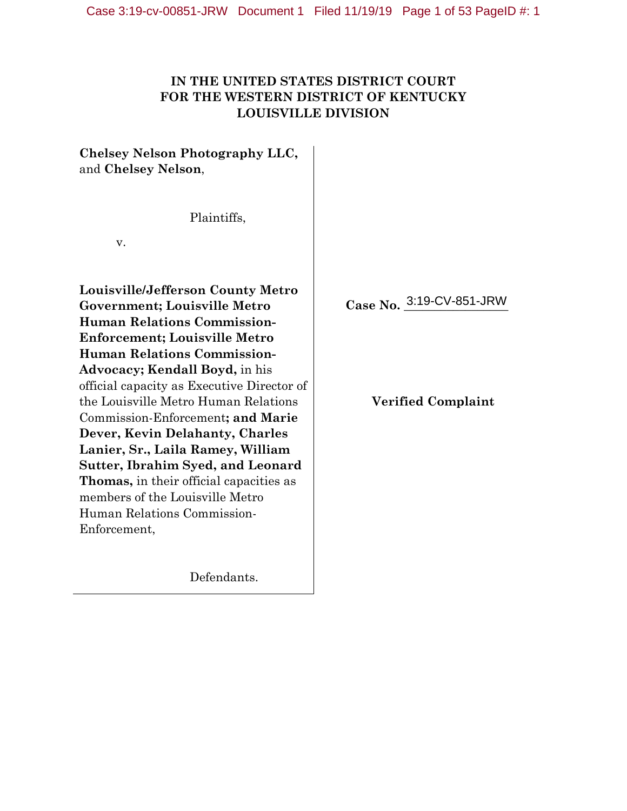# **IN THE UNITED STATES DISTRICT COURT FOR THE WESTERN DISTRICT OF KENTUCKY LOUISVILLE DIVISION**

**Chelsey Nelson Photography LLC,** and **Chelsey Nelson**,

Plaintiffs,

v.

**Louisville/Jefferson County Metro Government; Louisville Metro Human Relations Commission-Enforcement; Louisville Metro Human Relations Commission-Advocacy; Kendall Boyd,** in his official capacity as Executive Director of the Louisville Metro Human Relations Commission-Enforcement**; and Marie Dever, Kevin Delahanty, Charles Lanier, Sr., Laila Ramey, William Sutter, Ibrahim Syed, and Leonard Thomas,** in their official capacities as members of the Louisville Metro Human Relations Commission-Enforcement,

Defendants.

Case No. 3:19-CV-851-JRW

# **Verified Complaint**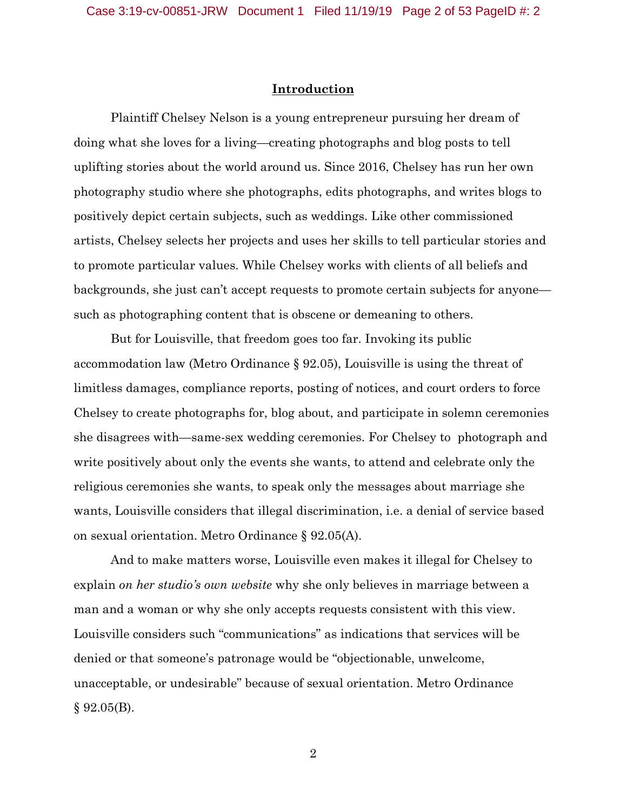### **Introduction**

Plaintiff Chelsey Nelson is a young entrepreneur pursuing her dream of doing what she loves for a living—creating photographs and blog posts to tell uplifting stories about the world around us. Since 2016, Chelsey has run her own photography studio where she photographs, edits photographs, and writes blogs to positively depict certain subjects, such as weddings. Like other commissioned artists, Chelsey selects her projects and uses her skills to tell particular stories and to promote particular values. While Chelsey works with clients of all beliefs and backgrounds, she just can't accept requests to promote certain subjects for anyone such as photographing content that is obscene or demeaning to others.

But for Louisville, that freedom goes too far. Invoking its public accommodation law (Metro Ordinance § 92.05), Louisville is using the threat of limitless damages, compliance reports, posting of notices, and court orders to force Chelsey to create photographs for, blog about, and participate in solemn ceremonies she disagrees with—same-sex wedding ceremonies. For Chelsey to photograph and write positively about only the events she wants, to attend and celebrate only the religious ceremonies she wants, to speak only the messages about marriage she wants, Louisville considers that illegal discrimination, i.e. a denial of service based on sexual orientation. Metro Ordinance § 92.05(A).

And to make matters worse, Louisville even makes it illegal for Chelsey to explain *on her studio's own website* why she only believes in marriage between a man and a woman or why she only accepts requests consistent with this view. Louisville considers such "communications" as indications that services will be denied or that someone's patronage would be "objectionable, unwelcome, unacceptable, or undesirable" because of sexual orientation. Metro Ordinance  $§ 92.05(B).$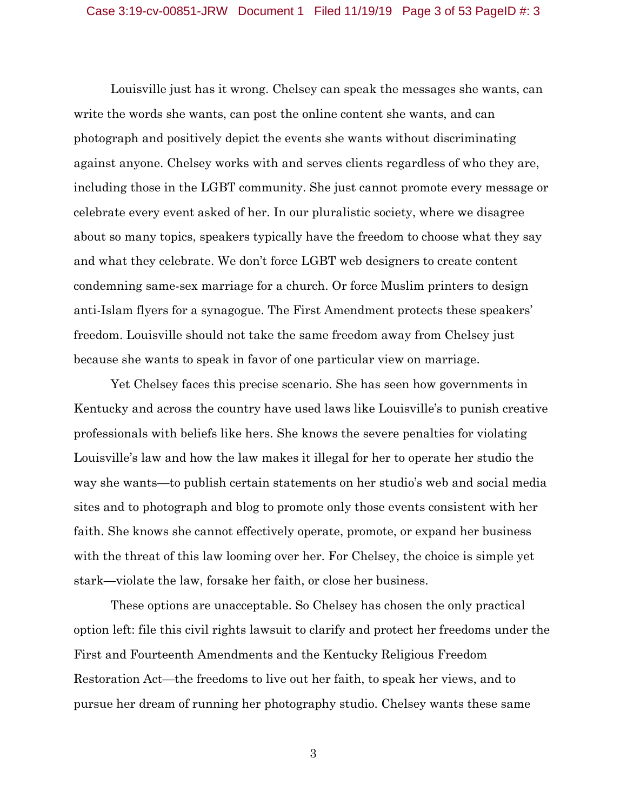Louisville just has it wrong. Chelsey can speak the messages she wants, can write the words she wants, can post the online content she wants, and can photograph and positively depict the events she wants without discriminating against anyone. Chelsey works with and serves clients regardless of who they are, including those in the LGBT community. She just cannot promote every message or celebrate every event asked of her. In our pluralistic society, where we disagree about so many topics, speakers typically have the freedom to choose what they say and what they celebrate. We don't force LGBT web designers to create content condemning same-sex marriage for a church. Or force Muslim printers to design anti-Islam flyers for a synagogue. The First Amendment protects these speakers' freedom. Louisville should not take the same freedom away from Chelsey just because she wants to speak in favor of one particular view on marriage.

Yet Chelsey faces this precise scenario. She has seen how governments in Kentucky and across the country have used laws like Louisville's to punish creative professionals with beliefs like hers. She knows the severe penalties for violating Louisville's law and how the law makes it illegal for her to operate her studio the way she wants—to publish certain statements on her studio's web and social media sites and to photograph and blog to promote only those events consistent with her faith. She knows she cannot effectively operate, promote, or expand her business with the threat of this law looming over her. For Chelsey, the choice is simple yet stark—violate the law, forsake her faith, or close her business.

These options are unacceptable. So Chelsey has chosen the only practical option left: file this civil rights lawsuit to clarify and protect her freedoms under the First and Fourteenth Amendments and the Kentucky Religious Freedom Restoration Act—the freedoms to live out her faith, to speak her views, and to pursue her dream of running her photography studio. Chelsey wants these same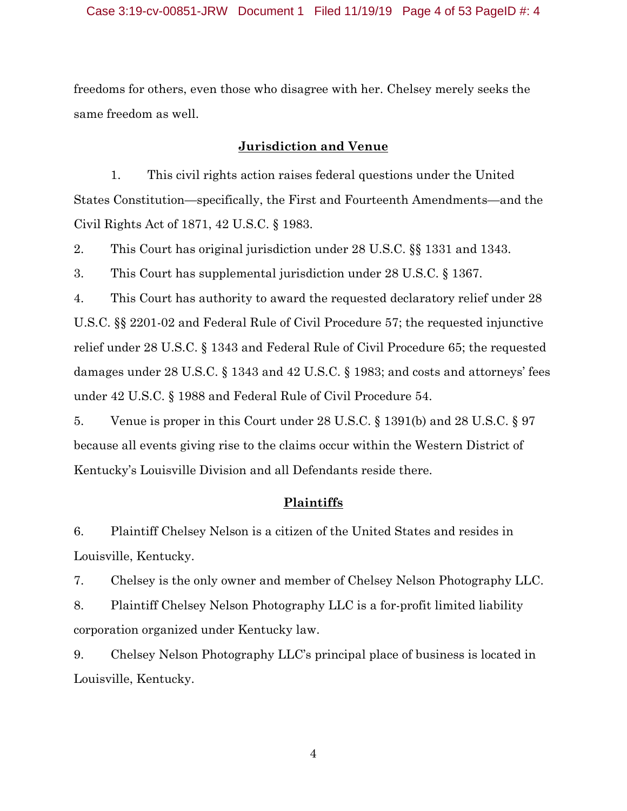freedoms for others, even those who disagree with her. Chelsey merely seeks the same freedom as well.

### **Jurisdiction and Venue**

1. This civil rights action raises federal questions under the United States Constitution—specifically, the First and Fourteenth Amendments—and the Civil Rights Act of 1871, 42 U.S.C. § 1983.

2. This Court has original jurisdiction under 28 U.S.C. §§ 1331 and 1343.

3. This Court has supplemental jurisdiction under 28 U.S.C. § 1367.

4. This Court has authority to award the requested declaratory relief under 28 U.S.C. §§ 2201-02 and Federal Rule of Civil Procedure 57; the requested injunctive relief under 28 U.S.C. § 1343 and Federal Rule of Civil Procedure 65; the requested damages under 28 U.S.C. § 1343 and 42 U.S.C. § 1983; and costs and attorneys' fees under 42 U.S.C. § 1988 and Federal Rule of Civil Procedure 54.

5. Venue is proper in this Court under 28 U.S.C. § 1391(b) and 28 U.S.C. § 97 because all events giving rise to the claims occur within the Western District of Kentucky's Louisville Division and all Defendants reside there.

### **Plaintiffs**

6. Plaintiff Chelsey Nelson is a citizen of the United States and resides in Louisville, Kentucky.

7. Chelsey is the only owner and member of Chelsey Nelson Photography LLC.

8. Plaintiff Chelsey Nelson Photography LLC is a for-profit limited liability corporation organized under Kentucky law.

9. Chelsey Nelson Photography LLC's principal place of business is located in Louisville, Kentucky.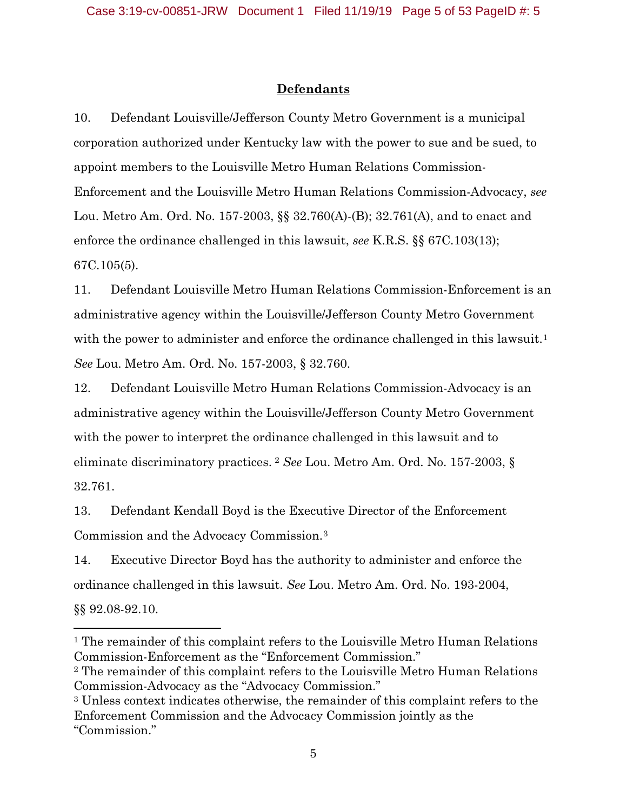## **Defendants**

10. Defendant Louisville/Jefferson County Metro Government is a municipal corporation authorized under Kentucky law with the power to sue and be sued, to appoint members to the Louisville Metro Human Relations Commission-Enforcement and the Louisville Metro Human Relations Commission-Advocacy, *see*  Lou. Metro Am. Ord. No. 157-2003, §§ 32.760(A)-(B); 32.761(A), and to enact and enforce the ordinance challenged in this lawsuit, *see* K.R.S. §§ 67C.103(13); 67C.105(5).

11. Defendant Louisville Metro Human Relations Commission-Enforcement is an administrative agency within the Louisville/Jefferson County Metro Government with the power to administer and enforce the ordinance challenged in this lawsuit.<sup>1</sup> *See* Lou. Metro Am. Ord. No. 157-2003, § 32.760.

12. Defendant Louisville Metro Human Relations Commission-Advocacy is an administrative agency within the Louisville/Jefferson County Metro Government with the power to interpret the ordinance challenged in this lawsuit and to eliminate discriminatory practices. <sup>2</sup> *See* Lou. Metro Am. Ord. No. 157-2003, § 32.761.

13. Defendant Kendall Boyd is the Executive Director of the Enforcement Commission and the Advocacy Commission.3

14. Executive Director Boyd has the authority to administer and enforce the ordinance challenged in this lawsuit. *See* Lou. Metro Am. Ord. No. 193-2004, §§ 92.08-92.10.

l

<sup>&</sup>lt;sup>1</sup> The remainder of this complaint refers to the Louisville Metro Human Relations Commission-Enforcement as the "Enforcement Commission."

<sup>2</sup> The remainder of this complaint refers to the Louisville Metro Human Relations Commission-Advocacy as the "Advocacy Commission."

<sup>3</sup> Unless context indicates otherwise, the remainder of this complaint refers to the Enforcement Commission and the Advocacy Commission jointly as the "Commission."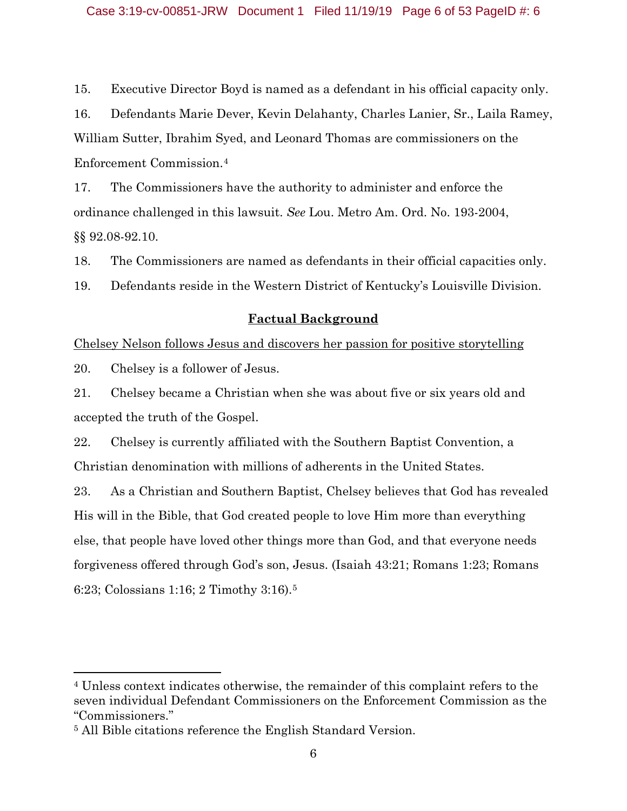15. Executive Director Boyd is named as a defendant in his official capacity only.

16. Defendants Marie Dever, Kevin Delahanty, Charles Lanier, Sr., Laila Ramey, William Sutter, Ibrahim Syed, and Leonard Thomas are commissioners on the Enforcement Commission.4

17. The Commissioners have the authority to administer and enforce the ordinance challenged in this lawsuit. *See* Lou. Metro Am. Ord. No. 193-2004, §§ 92.08-92.10.

18. The Commissioners are named as defendants in their official capacities only.

19. Defendants reside in the Western District of Kentucky's Louisville Division.

### **Factual Background**

Chelsey Nelson follows Jesus and discovers her passion for positive storytelling

20. Chelsey is a follower of Jesus.

 $\overline{\phantom{a}}$ 

21. Chelsey became a Christian when she was about five or six years old and accepted the truth of the Gospel.

22. Chelsey is currently affiliated with the Southern Baptist Convention, a Christian denomination with millions of adherents in the United States.

23. As a Christian and Southern Baptist, Chelsey believes that God has revealed His will in the Bible, that God created people to love Him more than everything else, that people have loved other things more than God, and that everyone needs forgiveness offered through God's son, Jesus. (Isaiah 43:21; Romans 1:23; Romans 6:23; Colossians 1:16; 2 Timothy 3:16).5

<sup>4</sup> Unless context indicates otherwise, the remainder of this complaint refers to the seven individual Defendant Commissioners on the Enforcement Commission as the "Commissioners."

<sup>5</sup> All Bible citations reference the English Standard Version.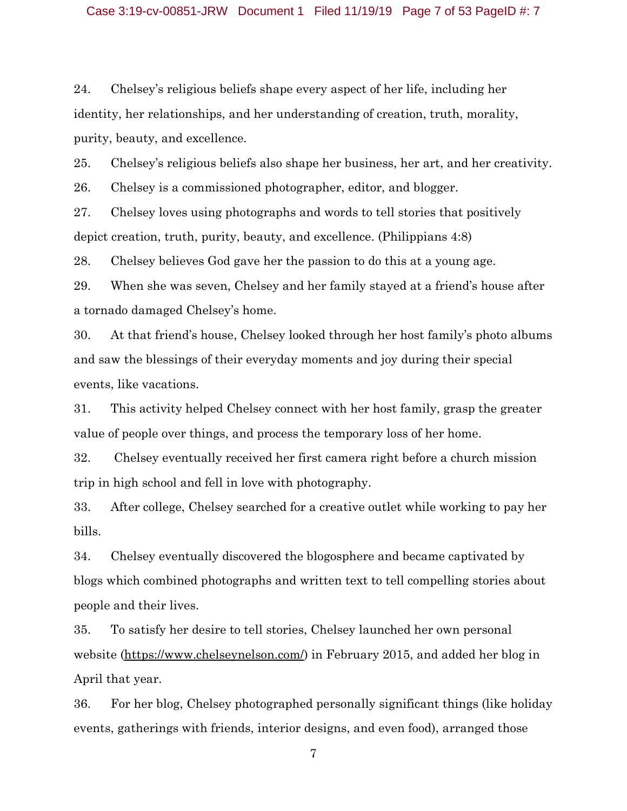24. Chelsey's religious beliefs shape every aspect of her life, including her identity, her relationships, and her understanding of creation, truth, morality, purity, beauty, and excellence.

25. Chelsey's religious beliefs also shape her business, her art, and her creativity.

26. Chelsey is a commissioned photographer, editor, and blogger.

27. Chelsey loves using photographs and words to tell stories that positively depict creation, truth, purity, beauty, and excellence. (Philippians 4:8)

28. Chelsey believes God gave her the passion to do this at a young age.

29. When she was seven, Chelsey and her family stayed at a friend's house after a tornado damaged Chelsey's home.

30. At that friend's house, Chelsey looked through her host family's photo albums and saw the blessings of their everyday moments and joy during their special events, like vacations.

31. This activity helped Chelsey connect with her host family, grasp the greater value of people over things, and process the temporary loss of her home.

32. Chelsey eventually received her first camera right before a church mission trip in high school and fell in love with photography.

33. After college, Chelsey searched for a creative outlet while working to pay her bills.

34. Chelsey eventually discovered the blogosphere and became captivated by blogs which combined photographs and written text to tell compelling stories about people and their lives.

35. To satisfy her desire to tell stories, Chelsey launched her own personal website (https://www.chelseynelson.com/) in February 2015, and added her blog in April that year.

36. For her blog, Chelsey photographed personally significant things (like holiday events, gatherings with friends, interior designs, and even food), arranged those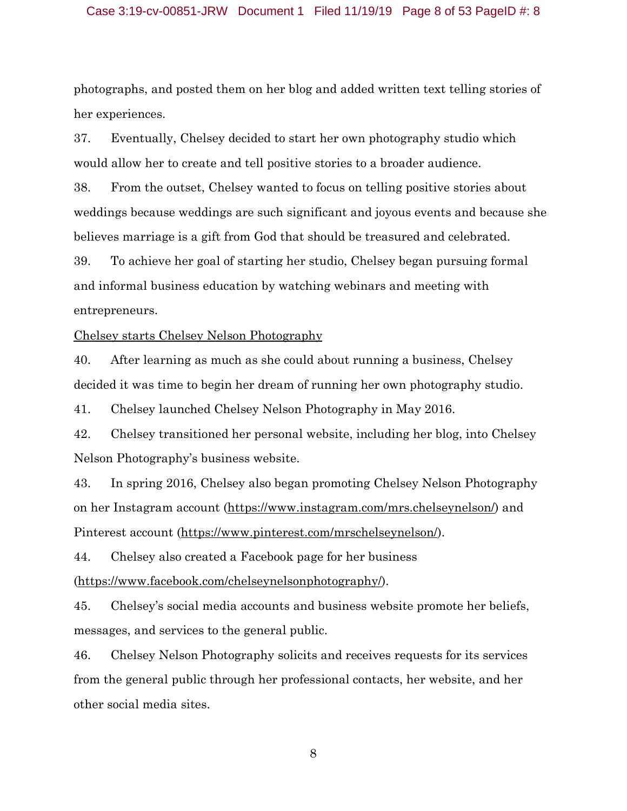#### Case 3:19-cv-00851-JRW Document 1 Filed 11/19/19 Page 8 of 53 PageID #: 8

photographs, and posted them on her blog and added written text telling stories of her experiences.

37. Eventually, Chelsey decided to start her own photography studio which would allow her to create and tell positive stories to a broader audience.

38. From the outset, Chelsey wanted to focus on telling positive stories about weddings because weddings are such significant and joyous events and because she believes marriage is a gift from God that should be treasured and celebrated.

39. To achieve her goal of starting her studio, Chelsey began pursuing formal and informal business education by watching webinars and meeting with entrepreneurs.

Chelsey starts Chelsey Nelson Photography

40. After learning as much as she could about running a business, Chelsey decided it was time to begin her dream of running her own photography studio.

41. Chelsey launched Chelsey Nelson Photography in May 2016.

42. Chelsey transitioned her personal website, including her blog, into Chelsey Nelson Photography's business website.

43. In spring 2016, Chelsey also began promoting Chelsey Nelson Photography on her Instagram account (https://www.instagram.com/mrs.chelseynelson/) and Pinterest account (https://www.pinterest.com/mrschelseynelson/).

44. Chelsey also created a Facebook page for her business (https://www.facebook.com/chelseynelsonphotography/).

45. Chelsey's social media accounts and business website promote her beliefs, messages, and services to the general public.

46. Chelsey Nelson Photography solicits and receives requests for its services from the general public through her professional contacts, her website, and her other social media sites.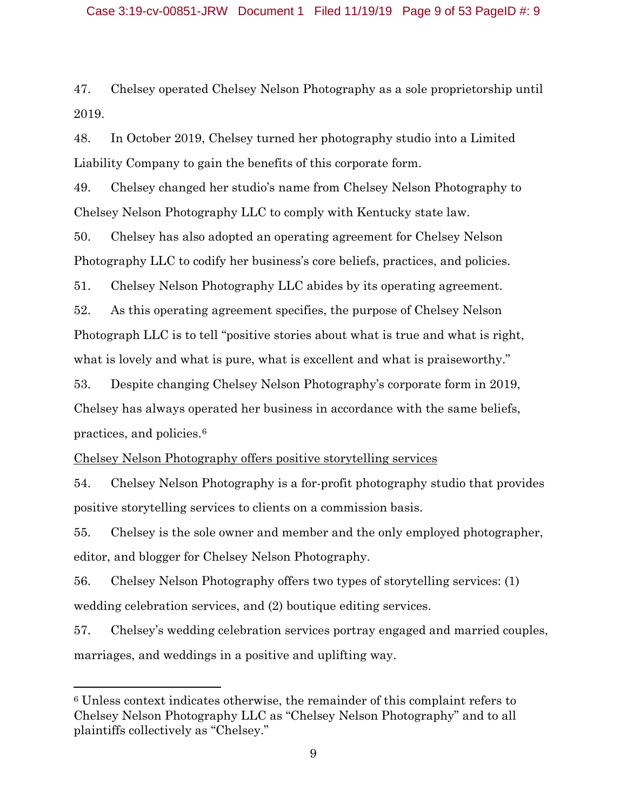47. Chelsey operated Chelsey Nelson Photography as a sole proprietorship until 2019.

48. In October 2019, Chelsey turned her photography studio into a Limited Liability Company to gain the benefits of this corporate form.

49. Chelsey changed her studio's name from Chelsey Nelson Photography to Chelsey Nelson Photography LLC to comply with Kentucky state law.

50. Chelsey has also adopted an operating agreement for Chelsey Nelson Photography LLC to codify her business's core beliefs, practices, and policies.

51. Chelsey Nelson Photography LLC abides by its operating agreement.

52. As this operating agreement specifies, the purpose of Chelsey Nelson Photograph LLC is to tell "positive stories about what is true and what is right, what is lovely and what is pure, what is excellent and what is praiseworthy."

53. Despite changing Chelsey Nelson Photography's corporate form in 2019, Chelsey has always operated her business in accordance with the same beliefs, practices, and policies.6

Chelsey Nelson Photography offers positive storytelling services

54. Chelsey Nelson Photography is a for-profit photography studio that provides positive storytelling services to clients on a commission basis.

55. Chelsey is the sole owner and member and the only employed photographer, editor, and blogger for Chelsey Nelson Photography.

56. Chelsey Nelson Photography offers two types of storytelling services: (1) wedding celebration services, and (2) boutique editing services.

57. Chelsey's wedding celebration services portray engaged and married couples, marriages, and weddings in a positive and uplifting way.

l

<sup>6</sup> Unless context indicates otherwise, the remainder of this complaint refers to Chelsey Nelson Photography LLC as "Chelsey Nelson Photography" and to all plaintiffs collectively as "Chelsey."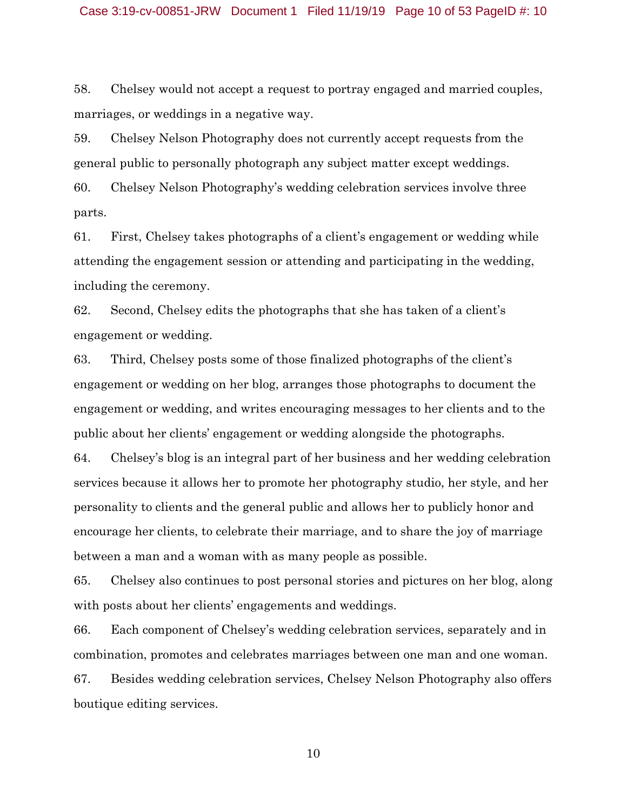58. Chelsey would not accept a request to portray engaged and married couples, marriages, or weddings in a negative way.

59. Chelsey Nelson Photography does not currently accept requests from the general public to personally photograph any subject matter except weddings.

60. Chelsey Nelson Photography's wedding celebration services involve three parts.

61. First, Chelsey takes photographs of a client's engagement or wedding while attending the engagement session or attending and participating in the wedding, including the ceremony.

62. Second, Chelsey edits the photographs that she has taken of a client's engagement or wedding.

63. Third, Chelsey posts some of those finalized photographs of the client's engagement or wedding on her blog, arranges those photographs to document the engagement or wedding, and writes encouraging messages to her clients and to the public about her clients' engagement or wedding alongside the photographs.

64. Chelsey's blog is an integral part of her business and her wedding celebration services because it allows her to promote her photography studio, her style, and her personality to clients and the general public and allows her to publicly honor and encourage her clients, to celebrate their marriage, and to share the joy of marriage between a man and a woman with as many people as possible.

65. Chelsey also continues to post personal stories and pictures on her blog, along with posts about her clients' engagements and weddings.

66. Each component of Chelsey's wedding celebration services, separately and in combination, promotes and celebrates marriages between one man and one woman. 67. Besides wedding celebration services, Chelsey Nelson Photography also offers boutique editing services.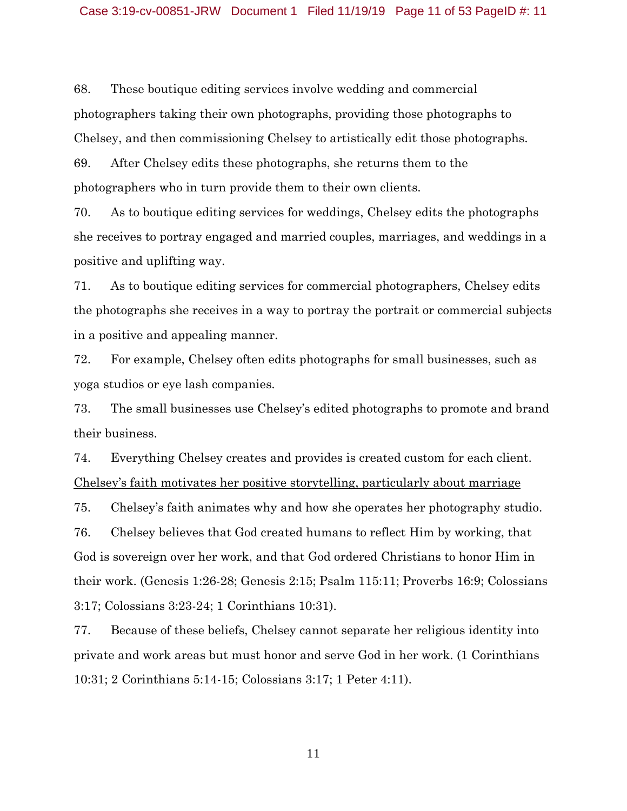68. These boutique editing services involve wedding and commercial photographers taking their own photographs, providing those photographs to Chelsey, and then commissioning Chelsey to artistically edit those photographs.

69. After Chelsey edits these photographs, she returns them to the photographers who in turn provide them to their own clients.

70. As to boutique editing services for weddings, Chelsey edits the photographs she receives to portray engaged and married couples, marriages, and weddings in a positive and uplifting way.

71. As to boutique editing services for commercial photographers, Chelsey edits the photographs she receives in a way to portray the portrait or commercial subjects in a positive and appealing manner.

72. For example, Chelsey often edits photographs for small businesses, such as yoga studios or eye lash companies.

73. The small businesses use Chelsey's edited photographs to promote and brand their business.

74. Everything Chelsey creates and provides is created custom for each client. Chelsey's faith motivates her positive storytelling, particularly about marriage

75. Chelsey's faith animates why and how she operates her photography studio. 76. Chelsey believes that God created humans to reflect Him by working, that God is sovereign over her work, and that God ordered Christians to honor Him in their work. (Genesis 1:26-28; Genesis 2:15; Psalm 115:11; Proverbs 16:9; Colossians 3:17; Colossians 3:23-24; 1 Corinthians 10:31).

77. Because of these beliefs, Chelsey cannot separate her religious identity into private and work areas but must honor and serve God in her work. (1 Corinthians 10:31; 2 Corinthians 5:14-15; Colossians 3:17; 1 Peter 4:11).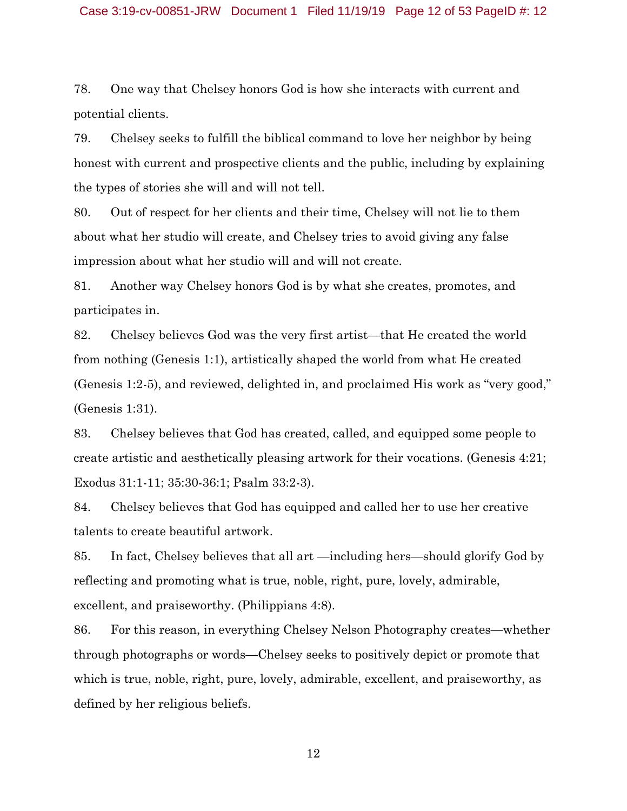#### Case 3:19-cv-00851-JRW Document 1 Filed 11/19/19 Page 12 of 53 PageID #: 12

78. One way that Chelsey honors God is how she interacts with current and potential clients.

79. Chelsey seeks to fulfill the biblical command to love her neighbor by being honest with current and prospective clients and the public, including by explaining the types of stories she will and will not tell.

80. Out of respect for her clients and their time, Chelsey will not lie to them about what her studio will create, and Chelsey tries to avoid giving any false impression about what her studio will and will not create.

81. Another way Chelsey honors God is by what she creates, promotes, and participates in.

82. Chelsey believes God was the very first artist—that He created the world from nothing (Genesis 1:1), artistically shaped the world from what He created (Genesis 1:2-5), and reviewed, delighted in, and proclaimed His work as "very good," (Genesis 1:31).

83. Chelsey believes that God has created, called, and equipped some people to create artistic and aesthetically pleasing artwork for their vocations. (Genesis 4:21; Exodus 31:1-11; 35:30-36:1; Psalm 33:2-3).

84. Chelsey believes that God has equipped and called her to use her creative talents to create beautiful artwork.

85. In fact, Chelsey believes that all art —including hers—should glorify God by reflecting and promoting what is true, noble, right, pure, lovely, admirable, excellent, and praiseworthy. (Philippians 4:8).

86. For this reason, in everything Chelsey Nelson Photography creates—whether through photographs or words—Chelsey seeks to positively depict or promote that which is true, noble, right, pure, lovely, admirable, excellent, and praiseworthy, as defined by her religious beliefs.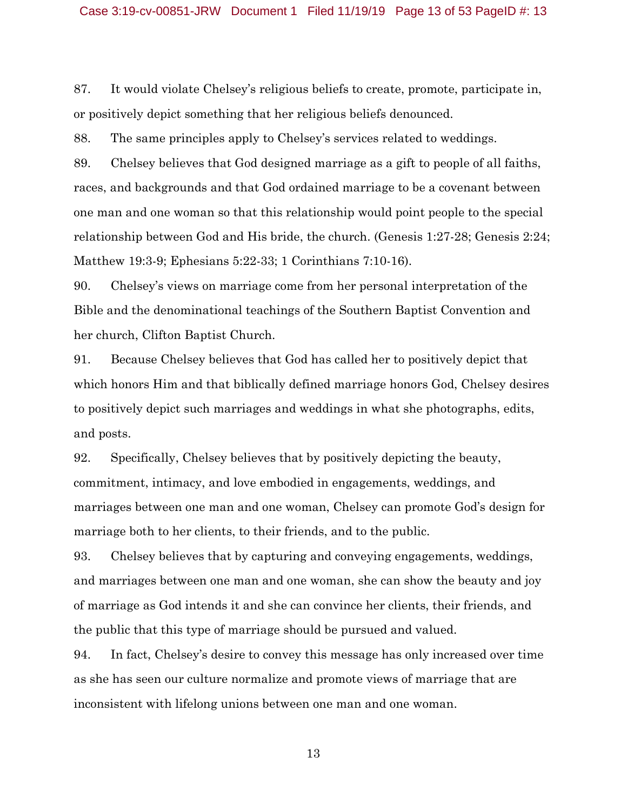#### Case 3:19-cv-00851-JRW Document 1 Filed 11/19/19 Page 13 of 53 PageID #: 13

87. It would violate Chelsey's religious beliefs to create, promote, participate in, or positively depict something that her religious beliefs denounced.

88. The same principles apply to Chelsey's services related to weddings.

89. Chelsey believes that God designed marriage as a gift to people of all faiths, races, and backgrounds and that God ordained marriage to be a covenant between one man and one woman so that this relationship would point people to the special relationship between God and His bride, the church. (Genesis 1:27-28; Genesis 2:24; Matthew 19:3-9; Ephesians 5:22-33; 1 Corinthians 7:10-16).

90. Chelsey's views on marriage come from her personal interpretation of the Bible and the denominational teachings of the Southern Baptist Convention and her church, Clifton Baptist Church.

91. Because Chelsey believes that God has called her to positively depict that which honors Him and that biblically defined marriage honors God, Chelsey desires to positively depict such marriages and weddings in what she photographs, edits, and posts.

92. Specifically, Chelsey believes that by positively depicting the beauty, commitment, intimacy, and love embodied in engagements, weddings, and marriages between one man and one woman, Chelsey can promote God's design for marriage both to her clients, to their friends, and to the public.

93. Chelsey believes that by capturing and conveying engagements, weddings, and marriages between one man and one woman, she can show the beauty and joy of marriage as God intends it and she can convince her clients, their friends, and the public that this type of marriage should be pursued and valued.

94. In fact, Chelsey's desire to convey this message has only increased over time as she has seen our culture normalize and promote views of marriage that are inconsistent with lifelong unions between one man and one woman.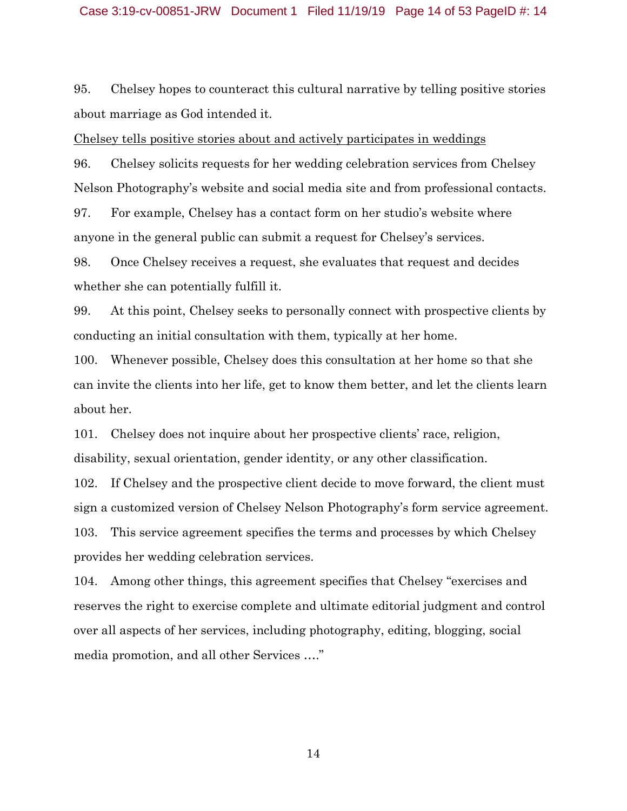95. Chelsey hopes to counteract this cultural narrative by telling positive stories about marriage as God intended it.

Chelsey tells positive stories about and actively participates in weddings

96. Chelsey solicits requests for her wedding celebration services from Chelsey Nelson Photography's website and social media site and from professional contacts.

97. For example, Chelsey has a contact form on her studio's website where anyone in the general public can submit a request for Chelsey's services.

98. Once Chelsey receives a request, she evaluates that request and decides whether she can potentially fulfill it.

99. At this point, Chelsey seeks to personally connect with prospective clients by conducting an initial consultation with them, typically at her home.

100. Whenever possible, Chelsey does this consultation at her home so that she can invite the clients into her life, get to know them better, and let the clients learn about her.

101. Chelsey does not inquire about her prospective clients' race, religion, disability, sexual orientation, gender identity, or any other classification.

102. If Chelsey and the prospective client decide to move forward, the client must sign a customized version of Chelsey Nelson Photography's form service agreement. 103. This service agreement specifies the terms and processes by which Chelsey provides her wedding celebration services.

104. Among other things, this agreement specifies that Chelsey "exercises and reserves the right to exercise complete and ultimate editorial judgment and control over all aspects of her services, including photography, editing, blogging, social media promotion, and all other Services …."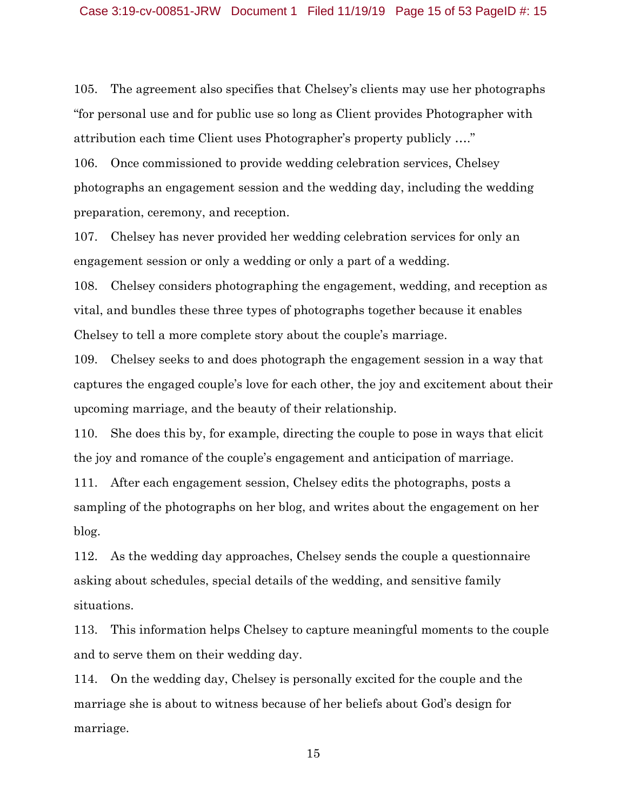105. The agreement also specifies that Chelsey's clients may use her photographs "for personal use and for public use so long as Client provides Photographer with attribution each time Client uses Photographer's property publicly …."

106. Once commissioned to provide wedding celebration services, Chelsey photographs an engagement session and the wedding day, including the wedding preparation, ceremony, and reception.

107. Chelsey has never provided her wedding celebration services for only an engagement session or only a wedding or only a part of a wedding.

108. Chelsey considers photographing the engagement, wedding, and reception as vital, and bundles these three types of photographs together because it enables Chelsey to tell a more complete story about the couple's marriage.

109. Chelsey seeks to and does photograph the engagement session in a way that captures the engaged couple's love for each other, the joy and excitement about their upcoming marriage, and the beauty of their relationship.

110. She does this by, for example, directing the couple to pose in ways that elicit the joy and romance of the couple's engagement and anticipation of marriage.

111. After each engagement session, Chelsey edits the photographs, posts a sampling of the photographs on her blog, and writes about the engagement on her blog.

112. As the wedding day approaches, Chelsey sends the couple a questionnaire asking about schedules, special details of the wedding, and sensitive family situations.

113. This information helps Chelsey to capture meaningful moments to the couple and to serve them on their wedding day.

114. On the wedding day, Chelsey is personally excited for the couple and the marriage she is about to witness because of her beliefs about God's design for marriage.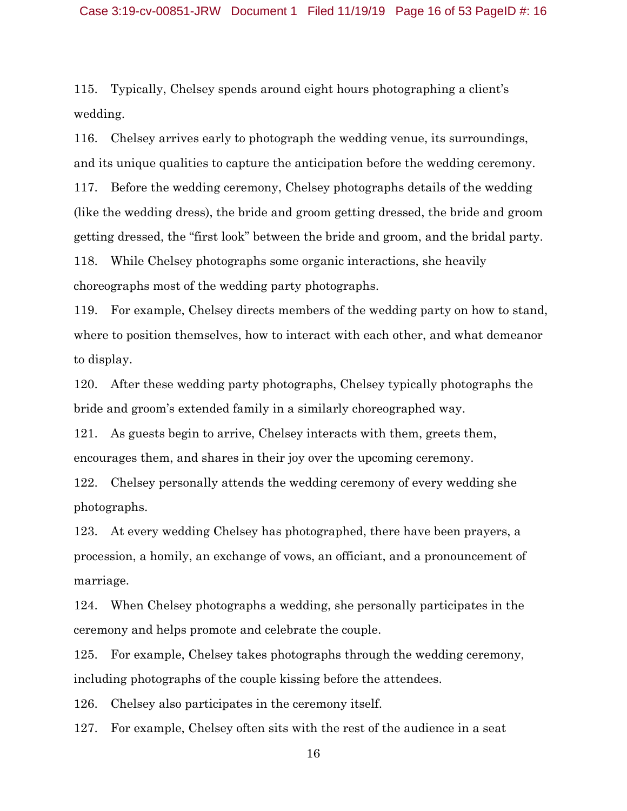#### Case 3:19-cv-00851-JRW Document 1 Filed 11/19/19 Page 16 of 53 PageID #: 16

115. Typically, Chelsey spends around eight hours photographing a client's wedding.

116. Chelsey arrives early to photograph the wedding venue, its surroundings, and its unique qualities to capture the anticipation before the wedding ceremony. 117. Before the wedding ceremony, Chelsey photographs details of the wedding (like the wedding dress), the bride and groom getting dressed, the bride and groom getting dressed, the "first look" between the bride and groom, and the bridal party. 118. While Chelsey photographs some organic interactions, she heavily choreographs most of the wedding party photographs.

119. For example, Chelsey directs members of the wedding party on how to stand, where to position themselves, how to interact with each other, and what demeanor to display.

120. After these wedding party photographs, Chelsey typically photographs the bride and groom's extended family in a similarly choreographed way.

121. As guests begin to arrive, Chelsey interacts with them, greets them, encourages them, and shares in their joy over the upcoming ceremony.

122. Chelsey personally attends the wedding ceremony of every wedding she photographs.

123. At every wedding Chelsey has photographed, there have been prayers, a procession, a homily, an exchange of vows, an officiant, and a pronouncement of marriage.

124. When Chelsey photographs a wedding, she personally participates in the ceremony and helps promote and celebrate the couple.

125. For example, Chelsey takes photographs through the wedding ceremony, including photographs of the couple kissing before the attendees.

126. Chelsey also participates in the ceremony itself.

127. For example, Chelsey often sits with the rest of the audience in a seat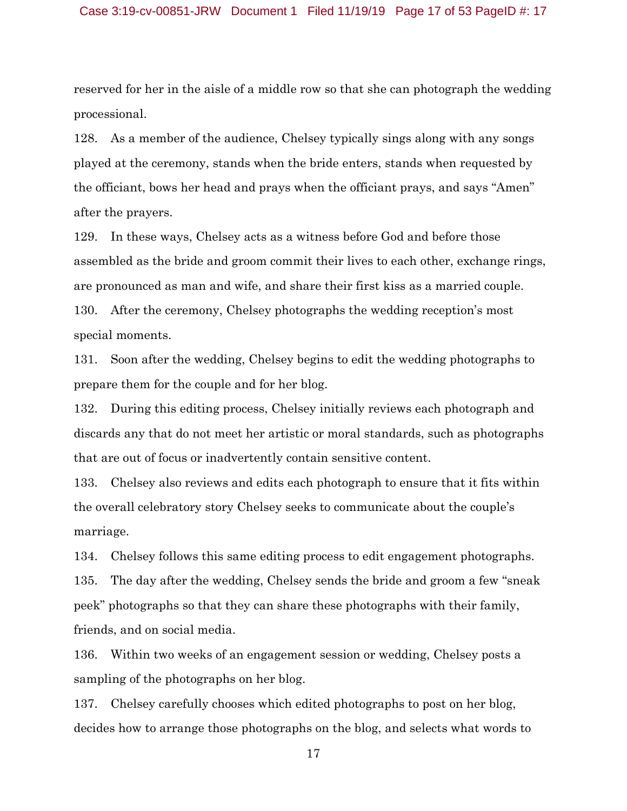#### Case 3:19-cv-00851-JRW Document 1 Filed 11/19/19 Page 17 of 53 PageID #: 17

reserved for her in the aisle of a middle row so that she can photograph the wedding processional.

128. As a member of the audience, Chelsey typically sings along with any songs played at the ceremony, stands when the bride enters, stands when requested by the officiant, bows her head and prays when the officiant prays, and says "Amen" after the prayers.

129. In these ways, Chelsey acts as a witness before God and before those assembled as the bride and groom commit their lives to each other, exchange rings, are pronounced as man and wife, and share their first kiss as a married couple. 130. After the ceremony, Chelsey photographs the wedding reception's most special moments.

131. Soon after the wedding, Chelsey begins to edit the wedding photographs to prepare them for the couple and for her blog.

132. During this editing process, Chelsey initially reviews each photograph and discards any that do not meet her artistic or moral standards, such as photographs that are out of focus or inadvertently contain sensitive content.

133. Chelsey also reviews and edits each photograph to ensure that it fits within the overall celebratory story Chelsey seeks to communicate about the couple's marriage.

134. Chelsey follows this same editing process to edit engagement photographs. 135. The day after the wedding, Chelsey sends the bride and groom a few "sneak peek" photographs so that they can share these photographs with their family, friends, and on social media.

136. Within two weeks of an engagement session or wedding, Chelsey posts a sampling of the photographs on her blog.

137. Chelsey carefully chooses which edited photographs to post on her blog, decides how to arrange those photographs on the blog, and selects what words to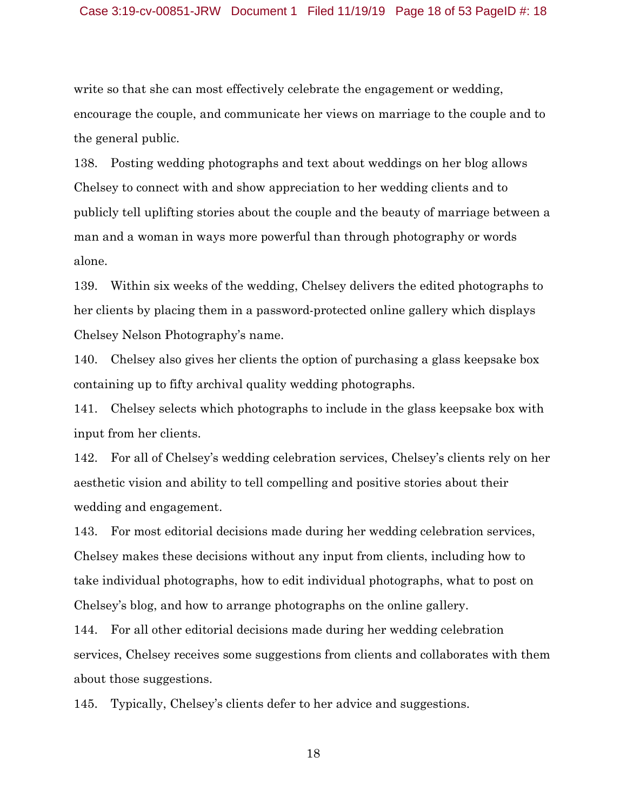#### Case 3:19-cv-00851-JRW Document 1 Filed 11/19/19 Page 18 of 53 PageID #: 18

write so that she can most effectively celebrate the engagement or wedding, encourage the couple, and communicate her views on marriage to the couple and to the general public.

138. Posting wedding photographs and text about weddings on her blog allows Chelsey to connect with and show appreciation to her wedding clients and to publicly tell uplifting stories about the couple and the beauty of marriage between a man and a woman in ways more powerful than through photography or words alone.

139. Within six weeks of the wedding, Chelsey delivers the edited photographs to her clients by placing them in a password-protected online gallery which displays Chelsey Nelson Photography's name.

140. Chelsey also gives her clients the option of purchasing a glass keepsake box containing up to fifty archival quality wedding photographs.

141. Chelsey selects which photographs to include in the glass keepsake box with input from her clients.

142. For all of Chelsey's wedding celebration services, Chelsey's clients rely on her aesthetic vision and ability to tell compelling and positive stories about their wedding and engagement.

143. For most editorial decisions made during her wedding celebration services, Chelsey makes these decisions without any input from clients, including how to take individual photographs, how to edit individual photographs, what to post on Chelsey's blog, and how to arrange photographs on the online gallery.

144. For all other editorial decisions made during her wedding celebration services, Chelsey receives some suggestions from clients and collaborates with them about those suggestions.

145. Typically, Chelsey's clients defer to her advice and suggestions.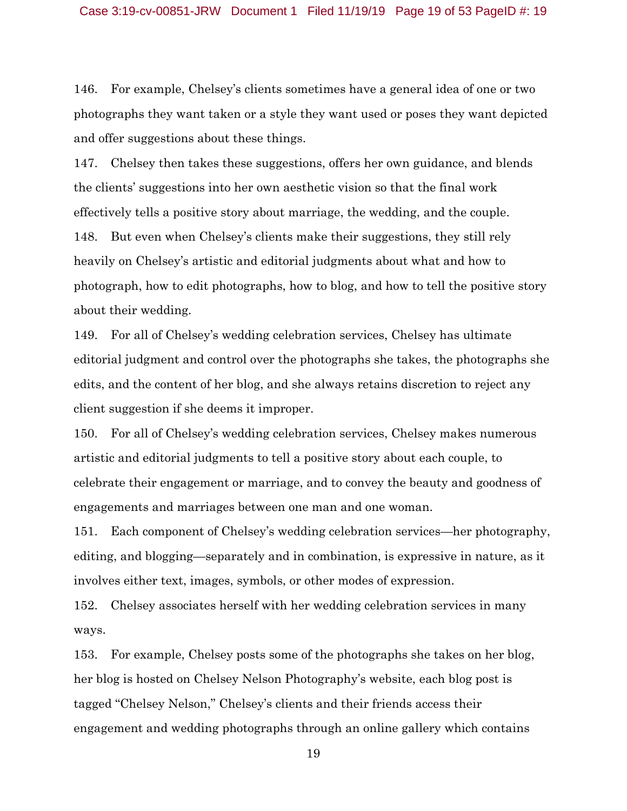146. For example, Chelsey's clients sometimes have a general idea of one or two photographs they want taken or a style they want used or poses they want depicted and offer suggestions about these things.

147. Chelsey then takes these suggestions, offers her own guidance, and blends the clients' suggestions into her own aesthetic vision so that the final work effectively tells a positive story about marriage, the wedding, and the couple. 148. But even when Chelsey's clients make their suggestions, they still rely heavily on Chelsey's artistic and editorial judgments about what and how to photograph, how to edit photographs, how to blog, and how to tell the positive story about their wedding.

149. For all of Chelsey's wedding celebration services, Chelsey has ultimate editorial judgment and control over the photographs she takes, the photographs she edits, and the content of her blog, and she always retains discretion to reject any client suggestion if she deems it improper.

150. For all of Chelsey's wedding celebration services, Chelsey makes numerous artistic and editorial judgments to tell a positive story about each couple, to celebrate their engagement or marriage, and to convey the beauty and goodness of engagements and marriages between one man and one woman.

151. Each component of Chelsey's wedding celebration services—her photography, editing, and blogging—separately and in combination, is expressive in nature, as it involves either text, images, symbols, or other modes of expression.

152. Chelsey associates herself with her wedding celebration services in many ways.

153. For example, Chelsey posts some of the photographs she takes on her blog, her blog is hosted on Chelsey Nelson Photography's website, each blog post is tagged "Chelsey Nelson," Chelsey's clients and their friends access their engagement and wedding photographs through an online gallery which contains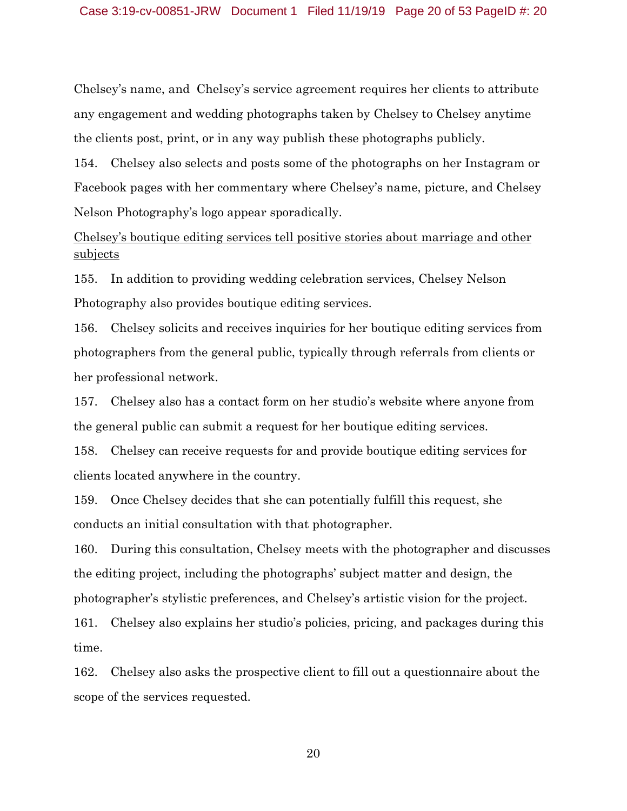Chelsey's name, and Chelsey's service agreement requires her clients to attribute any engagement and wedding photographs taken by Chelsey to Chelsey anytime the clients post, print, or in any way publish these photographs publicly.

154. Chelsey also selects and posts some of the photographs on her Instagram or Facebook pages with her commentary where Chelsey's name, picture, and Chelsey Nelson Photography's logo appear sporadically.

Chelsey's boutique editing services tell positive stories about marriage and other subjects

155. In addition to providing wedding celebration services, Chelsey Nelson Photography also provides boutique editing services.

156. Chelsey solicits and receives inquiries for her boutique editing services from photographers from the general public, typically through referrals from clients or her professional network.

157. Chelsey also has a contact form on her studio's website where anyone from the general public can submit a request for her boutique editing services.

158. Chelsey can receive requests for and provide boutique editing services for clients located anywhere in the country.

159. Once Chelsey decides that she can potentially fulfill this request, she conducts an initial consultation with that photographer.

160. During this consultation, Chelsey meets with the photographer and discusses the editing project, including the photographs' subject matter and design, the photographer's stylistic preferences, and Chelsey's artistic vision for the project.

161. Chelsey also explains her studio's policies, pricing, and packages during this time.

162. Chelsey also asks the prospective client to fill out a questionnaire about the scope of the services requested.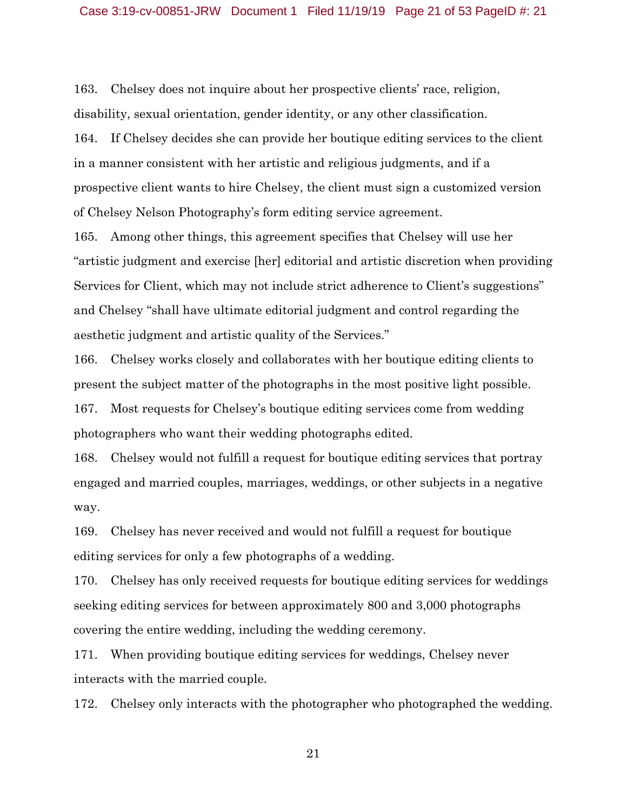#### Case 3:19-cv-00851-JRW Document 1 Filed 11/19/19 Page 21 of 53 PageID #: 21

163. Chelsey does not inquire about her prospective clients' race, religion, disability, sexual orientation, gender identity, or any other classification.

164. If Chelsey decides she can provide her boutique editing services to the client in a manner consistent with her artistic and religious judgments, and if a prospective client wants to hire Chelsey, the client must sign a customized version of Chelsey Nelson Photography's form editing service agreement.

165. Among other things, this agreement specifies that Chelsey will use her "artistic judgment and exercise [her] editorial and artistic discretion when providing Services for Client, which may not include strict adherence to Client's suggestions" and Chelsey "shall have ultimate editorial judgment and control regarding the aesthetic judgment and artistic quality of the Services."

166. Chelsey works closely and collaborates with her boutique editing clients to present the subject matter of the photographs in the most positive light possible. 167. Most requests for Chelsey's boutique editing services come from wedding photographers who want their wedding photographs edited.

168. Chelsey would not fulfill a request for boutique editing services that portray engaged and married couples, marriages, weddings, or other subjects in a negative way.

169. Chelsey has never received and would not fulfill a request for boutique editing services for only a few photographs of a wedding.

170. Chelsey has only received requests for boutique editing services for weddings seeking editing services for between approximately 800 and 3,000 photographs covering the entire wedding, including the wedding ceremony.

171. When providing boutique editing services for weddings, Chelsey never interacts with the married couple.

172. Chelsey only interacts with the photographer who photographed the wedding.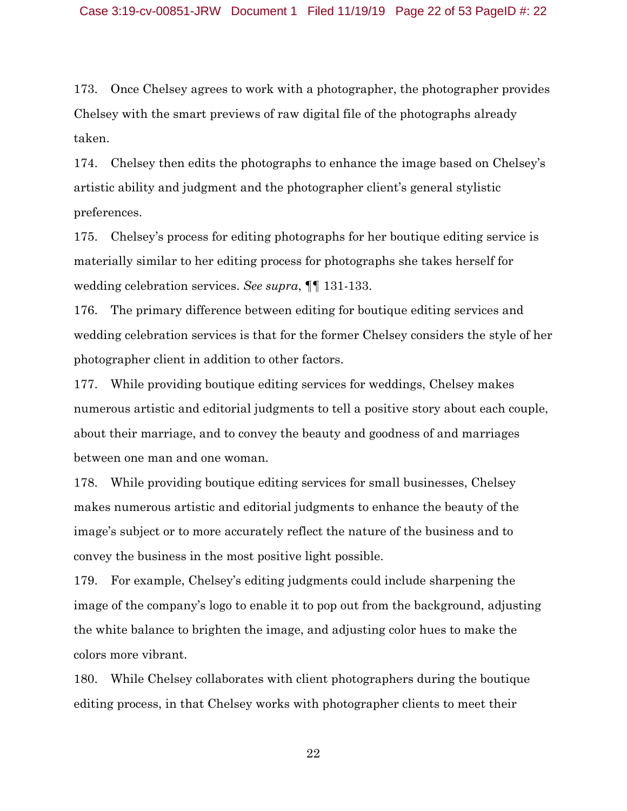173. Once Chelsey agrees to work with a photographer, the photographer provides Chelsey with the smart previews of raw digital file of the photographs already taken.

174. Chelsey then edits the photographs to enhance the image based on Chelsey's artistic ability and judgment and the photographer client's general stylistic preferences.

175. Chelsey's process for editing photographs for her boutique editing service is materially similar to her editing process for photographs she takes herself for wedding celebration services. *See supra*, ¶¶ 131-133.

176. The primary difference between editing for boutique editing services and wedding celebration services is that for the former Chelsey considers the style of her photographer client in addition to other factors.

177. While providing boutique editing services for weddings, Chelsey makes numerous artistic and editorial judgments to tell a positive story about each couple, about their marriage, and to convey the beauty and goodness of and marriages between one man and one woman.

178. While providing boutique editing services for small businesses, Chelsey makes numerous artistic and editorial judgments to enhance the beauty of the image's subject or to more accurately reflect the nature of the business and to convey the business in the most positive light possible.

179. For example, Chelsey's editing judgments could include sharpening the image of the company's logo to enable it to pop out from the background, adjusting the white balance to brighten the image, and adjusting color hues to make the colors more vibrant.

180. While Chelsey collaborates with client photographers during the boutique editing process, in that Chelsey works with photographer clients to meet their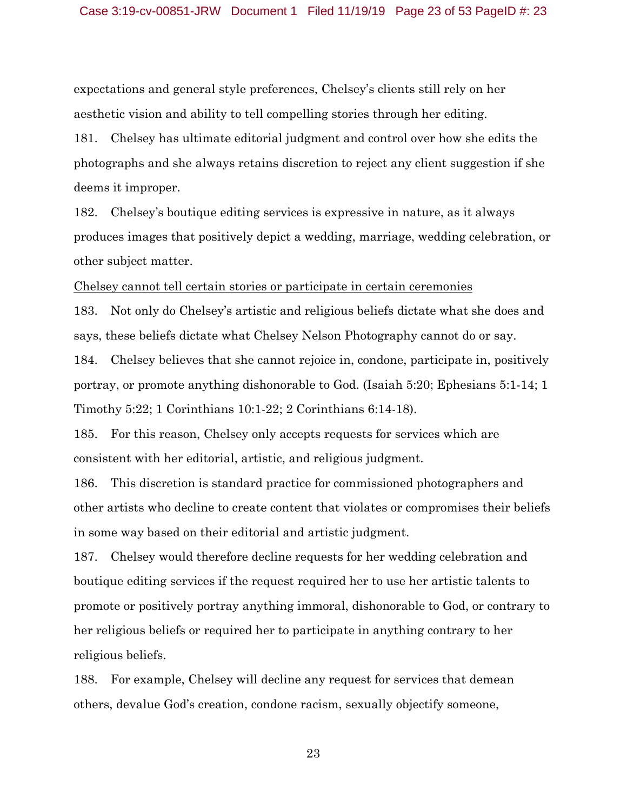expectations and general style preferences, Chelsey's clients still rely on her aesthetic vision and ability to tell compelling stories through her editing.

181. Chelsey has ultimate editorial judgment and control over how she edits the photographs and she always retains discretion to reject any client suggestion if she deems it improper.

182. Chelsey's boutique editing services is expressive in nature, as it always produces images that positively depict a wedding, marriage, wedding celebration, or other subject matter.

Chelsey cannot tell certain stories or participate in certain ceremonies

183. Not only do Chelsey's artistic and religious beliefs dictate what she does and says, these beliefs dictate what Chelsey Nelson Photography cannot do or say.

184. Chelsey believes that she cannot rejoice in, condone, participate in, positively portray, or promote anything dishonorable to God. (Isaiah 5:20; Ephesians 5:1-14; 1 Timothy 5:22; 1 Corinthians 10:1-22; 2 Corinthians 6:14-18).

185. For this reason, Chelsey only accepts requests for services which are consistent with her editorial, artistic, and religious judgment.

186. This discretion is standard practice for commissioned photographers and other artists who decline to create content that violates or compromises their beliefs in some way based on their editorial and artistic judgment.

187. Chelsey would therefore decline requests for her wedding celebration and boutique editing services if the request required her to use her artistic talents to promote or positively portray anything immoral, dishonorable to God, or contrary to her religious beliefs or required her to participate in anything contrary to her religious beliefs.

188. For example, Chelsey will decline any request for services that demean others, devalue God's creation, condone racism, sexually objectify someone,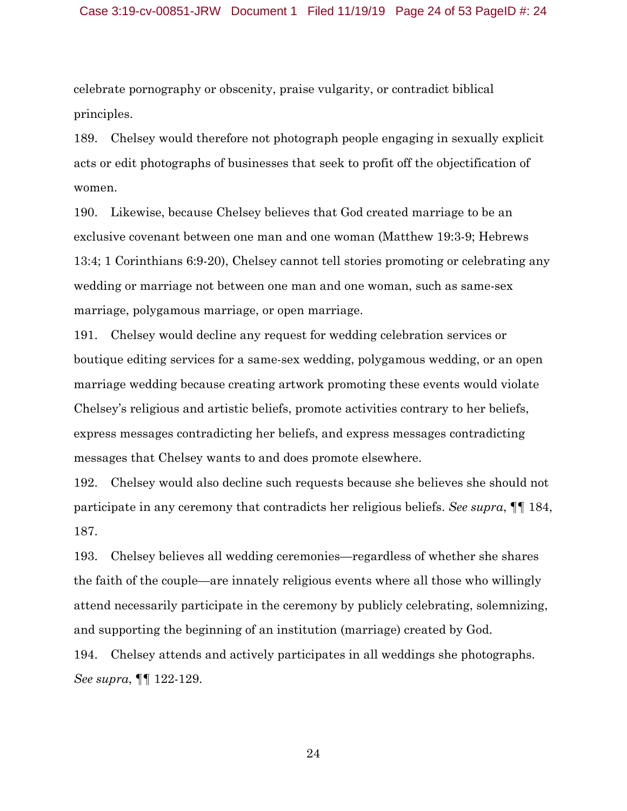#### Case 3:19-cv-00851-JRW Document 1 Filed 11/19/19 Page 24 of 53 PageID #: 24

celebrate pornography or obscenity, praise vulgarity, or contradict biblical principles.

189. Chelsey would therefore not photograph people engaging in sexually explicit acts or edit photographs of businesses that seek to profit off the objectification of women.

190. Likewise, because Chelsey believes that God created marriage to be an exclusive covenant between one man and one woman (Matthew 19:3-9; Hebrews 13:4; 1 Corinthians 6:9-20), Chelsey cannot tell stories promoting or celebrating any wedding or marriage not between one man and one woman, such as same-sex marriage, polygamous marriage, or open marriage.

191. Chelsey would decline any request for wedding celebration services or boutique editing services for a same-sex wedding, polygamous wedding, or an open marriage wedding because creating artwork promoting these events would violate Chelsey's religious and artistic beliefs, promote activities contrary to her beliefs, express messages contradicting her beliefs, and express messages contradicting messages that Chelsey wants to and does promote elsewhere.

192. Chelsey would also decline such requests because she believes she should not participate in any ceremony that contradicts her religious beliefs. *See supra*, ¶¶ 184, 187.

193. Chelsey believes all wedding ceremonies—regardless of whether she shares the faith of the couple—are innately religious events where all those who willingly attend necessarily participate in the ceremony by publicly celebrating, solemnizing, and supporting the beginning of an institution (marriage) created by God.

194. Chelsey attends and actively participates in all weddings she photographs. *See supra*, ¶¶ 122-129.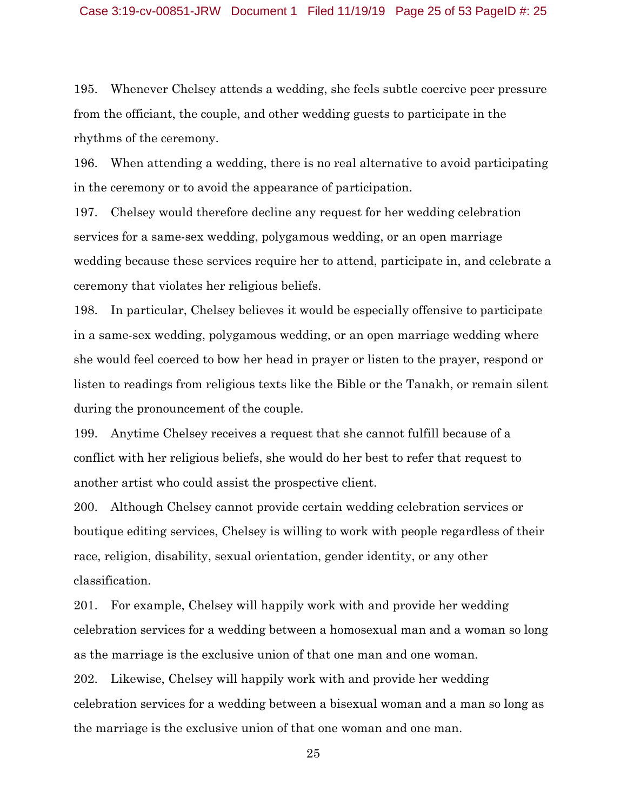195. Whenever Chelsey attends a wedding, she feels subtle coercive peer pressure from the officiant, the couple, and other wedding guests to participate in the rhythms of the ceremony.

196. When attending a wedding, there is no real alternative to avoid participating in the ceremony or to avoid the appearance of participation.

197. Chelsey would therefore decline any request for her wedding celebration services for a same-sex wedding, polygamous wedding, or an open marriage wedding because these services require her to attend, participate in, and celebrate a ceremony that violates her religious beliefs.

198. In particular, Chelsey believes it would be especially offensive to participate in a same-sex wedding, polygamous wedding, or an open marriage wedding where she would feel coerced to bow her head in prayer or listen to the prayer, respond or listen to readings from religious texts like the Bible or the Tanakh, or remain silent during the pronouncement of the couple.

199. Anytime Chelsey receives a request that she cannot fulfill because of a conflict with her religious beliefs, she would do her best to refer that request to another artist who could assist the prospective client.

200. Although Chelsey cannot provide certain wedding celebration services or boutique editing services, Chelsey is willing to work with people regardless of their race, religion, disability, sexual orientation, gender identity, or any other classification.

201. For example, Chelsey will happily work with and provide her wedding celebration services for a wedding between a homosexual man and a woman so long as the marriage is the exclusive union of that one man and one woman. 202. Likewise, Chelsey will happily work with and provide her wedding celebration services for a wedding between a bisexual woman and a man so long as the marriage is the exclusive union of that one woman and one man.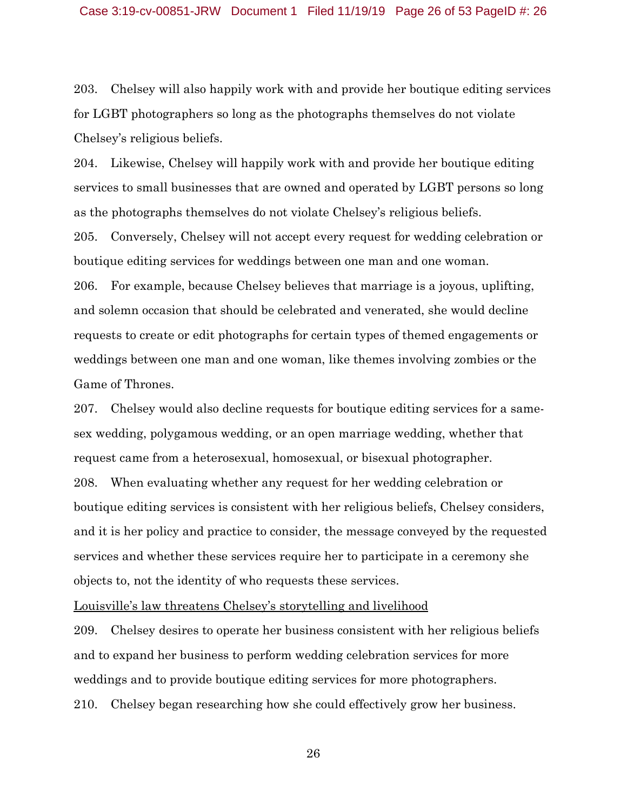203. Chelsey will also happily work with and provide her boutique editing services for LGBT photographers so long as the photographs themselves do not violate Chelsey's religious beliefs.

204. Likewise, Chelsey will happily work with and provide her boutique editing services to small businesses that are owned and operated by LGBT persons so long as the photographs themselves do not violate Chelsey's religious beliefs.

205. Conversely, Chelsey will not accept every request for wedding celebration or boutique editing services for weddings between one man and one woman.

206. For example, because Chelsey believes that marriage is a joyous, uplifting, and solemn occasion that should be celebrated and venerated, she would decline requests to create or edit photographs for certain types of themed engagements or weddings between one man and one woman, like themes involving zombies or the Game of Thrones.

207. Chelsey would also decline requests for boutique editing services for a samesex wedding, polygamous wedding, or an open marriage wedding, whether that request came from a heterosexual, homosexual, or bisexual photographer. 208. When evaluating whether any request for her wedding celebration or boutique editing services is consistent with her religious beliefs, Chelsey considers, and it is her policy and practice to consider, the message conveyed by the requested services and whether these services require her to participate in a ceremony she

objects to, not the identity of who requests these services.

Louisville's law threatens Chelsey's storytelling and livelihood

209. Chelsey desires to operate her business consistent with her religious beliefs

and to expand her business to perform wedding celebration services for more weddings and to provide boutique editing services for more photographers. 210. Chelsey began researching how she could effectively grow her business.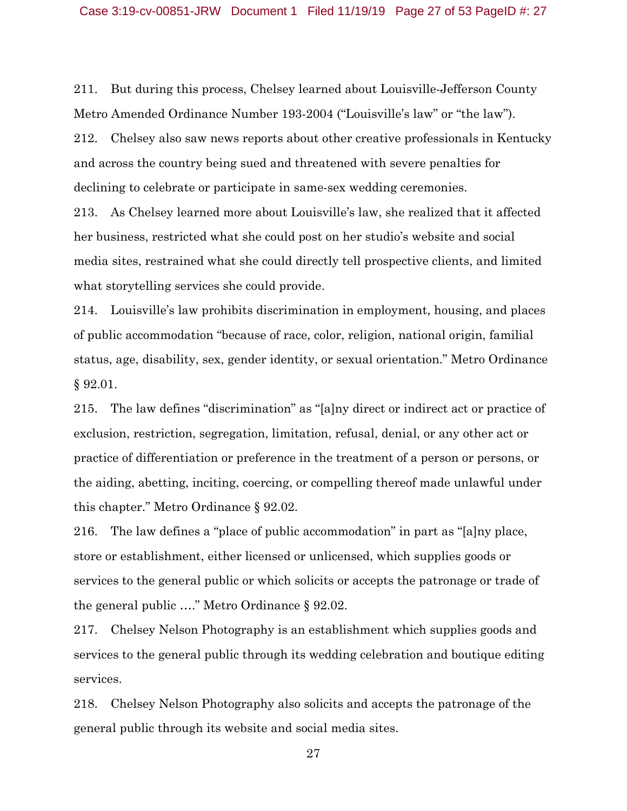211. But during this process, Chelsey learned about Louisville-Jefferson County Metro Amended Ordinance Number 193-2004 ("Louisville's law" or "the law"). 212. Chelsey also saw news reports about other creative professionals in Kentucky and across the country being sued and threatened with severe penalties for declining to celebrate or participate in same-sex wedding ceremonies.

213. As Chelsey learned more about Louisville's law, she realized that it affected her business, restricted what she could post on her studio's website and social media sites, restrained what she could directly tell prospective clients, and limited what storytelling services she could provide.

214. Louisville's law prohibits discrimination in employment, housing, and places of public accommodation "because of race, color, religion, national origin, familial status, age, disability, sex, gender identity, or sexual orientation." Metro Ordinance § 92.01.

215. The law defines "discrimination" as "[a]ny direct or indirect act or practice of exclusion, restriction, segregation, limitation, refusal, denial, or any other act or practice of differentiation or preference in the treatment of a person or persons, or the aiding, abetting, inciting, coercing, or compelling thereof made unlawful under this chapter." Metro Ordinance § 92.02.

216. The law defines a "place of public accommodation" in part as "[a]ny place, store or establishment, either licensed or unlicensed, which supplies goods or services to the general public or which solicits or accepts the patronage or trade of the general public …." Metro Ordinance § 92.02.

217. Chelsey Nelson Photography is an establishment which supplies goods and services to the general public through its wedding celebration and boutique editing services.

218. Chelsey Nelson Photography also solicits and accepts the patronage of the general public through its website and social media sites.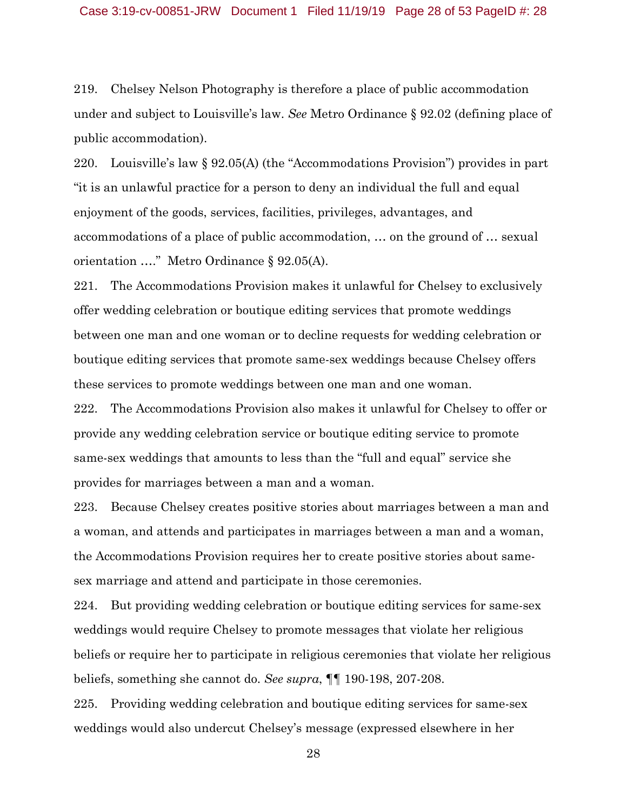219. Chelsey Nelson Photography is therefore a place of public accommodation under and subject to Louisville's law. *See* Metro Ordinance § 92.02 (defining place of public accommodation).

220. Louisville's law § 92.05(A) (the "Accommodations Provision") provides in part "it is an unlawful practice for a person to deny an individual the full and equal enjoyment of the goods, services, facilities, privileges, advantages, and accommodations of a place of public accommodation, … on the ground of … sexual orientation …." Metro Ordinance § 92.05(A).

221. The Accommodations Provision makes it unlawful for Chelsey to exclusively offer wedding celebration or boutique editing services that promote weddings between one man and one woman or to decline requests for wedding celebration or boutique editing services that promote same-sex weddings because Chelsey offers these services to promote weddings between one man and one woman.

222. The Accommodations Provision also makes it unlawful for Chelsey to offer or provide any wedding celebration service or boutique editing service to promote same-sex weddings that amounts to less than the "full and equal" service she provides for marriages between a man and a woman.

223. Because Chelsey creates positive stories about marriages between a man and a woman, and attends and participates in marriages between a man and a woman, the Accommodations Provision requires her to create positive stories about samesex marriage and attend and participate in those ceremonies.

224. But providing wedding celebration or boutique editing services for same-sex weddings would require Chelsey to promote messages that violate her religious beliefs or require her to participate in religious ceremonies that violate her religious beliefs, something she cannot do. *See supra*, ¶¶ 190-198, 207-208.

225. Providing wedding celebration and boutique editing services for same-sex weddings would also undercut Chelsey's message (expressed elsewhere in her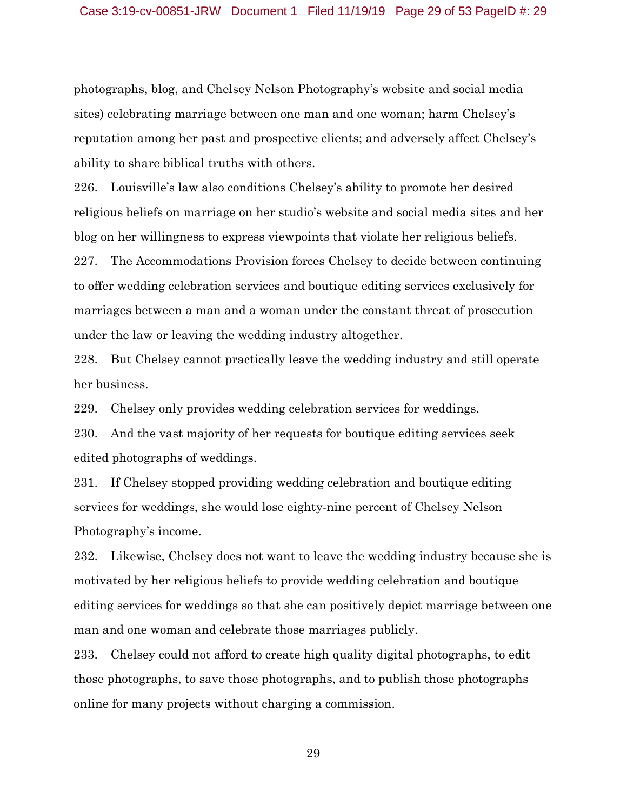photographs, blog, and Chelsey Nelson Photography's website and social media sites) celebrating marriage between one man and one woman; harm Chelsey's reputation among her past and prospective clients; and adversely affect Chelsey's ability to share biblical truths with others.

226. Louisville's law also conditions Chelsey's ability to promote her desired religious beliefs on marriage on her studio's website and social media sites and her blog on her willingness to express viewpoints that violate her religious beliefs.

227. The Accommodations Provision forces Chelsey to decide between continuing to offer wedding celebration services and boutique editing services exclusively for marriages between a man and a woman under the constant threat of prosecution under the law or leaving the wedding industry altogether.

228. But Chelsey cannot practically leave the wedding industry and still operate her business.

229. Chelsey only provides wedding celebration services for weddings.

230. And the vast majority of her requests for boutique editing services seek edited photographs of weddings.

231. If Chelsey stopped providing wedding celebration and boutique editing services for weddings, she would lose eighty-nine percent of Chelsey Nelson Photography's income.

232. Likewise, Chelsey does not want to leave the wedding industry because she is motivated by her religious beliefs to provide wedding celebration and boutique editing services for weddings so that she can positively depict marriage between one man and one woman and celebrate those marriages publicly.

233. Chelsey could not afford to create high quality digital photographs, to edit those photographs, to save those photographs, and to publish those photographs online for many projects without charging a commission.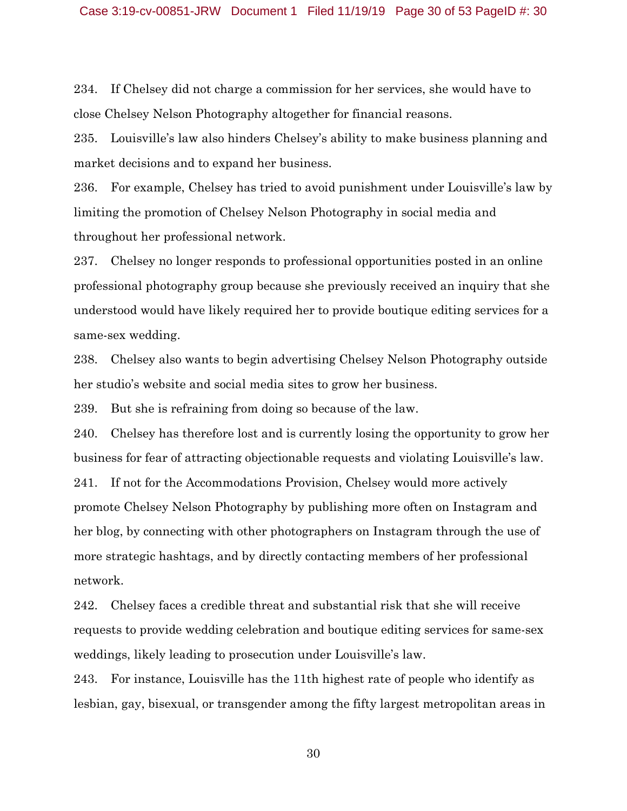234. If Chelsey did not charge a commission for her services, she would have to close Chelsey Nelson Photography altogether for financial reasons.

235. Louisville's law also hinders Chelsey's ability to make business planning and market decisions and to expand her business.

236. For example, Chelsey has tried to avoid punishment under Louisville's law by limiting the promotion of Chelsey Nelson Photography in social media and throughout her professional network.

237. Chelsey no longer responds to professional opportunities posted in an online professional photography group because she previously received an inquiry that she understood would have likely required her to provide boutique editing services for a same-sex wedding.

238. Chelsey also wants to begin advertising Chelsey Nelson Photography outside her studio's website and social media sites to grow her business.

239. But she is refraining from doing so because of the law.

240. Chelsey has therefore lost and is currently losing the opportunity to grow her business for fear of attracting objectionable requests and violating Louisville's law.

241. If not for the Accommodations Provision, Chelsey would more actively promote Chelsey Nelson Photography by publishing more often on Instagram and her blog, by connecting with other photographers on Instagram through the use of more strategic hashtags, and by directly contacting members of her professional network.

242. Chelsey faces a credible threat and substantial risk that she will receive requests to provide wedding celebration and boutique editing services for same-sex weddings, likely leading to prosecution under Louisville's law.

243. For instance, Louisville has the 11th highest rate of people who identify as lesbian, gay, bisexual, or transgender among the fifty largest metropolitan areas in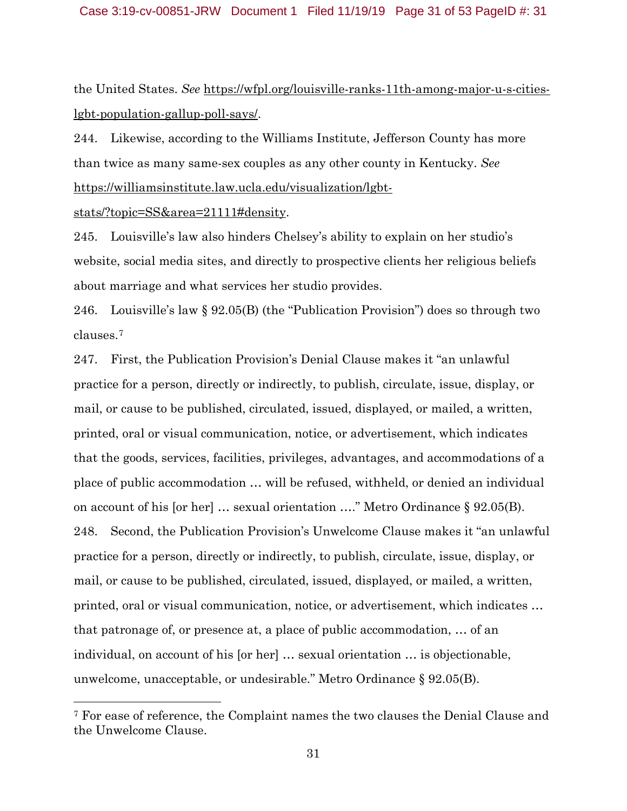the United States. *See* https://wfpl.org/louisville-ranks-11th-among-major-u-s-citieslgbt-population-gallup-poll-says/.

244. Likewise, according to the Williams Institute, Jefferson County has more than twice as many same-sex couples as any other county in Kentucky. *See*  https://williamsinstitute.law.ucla.edu/visualization/lgbt-

stats/?topic=SS&area=21111#density.

 $\overline{\phantom{a}}$ 

245. Louisville's law also hinders Chelsey's ability to explain on her studio's website, social media sites, and directly to prospective clients her religious beliefs about marriage and what services her studio provides.

246. Louisville's law § 92.05(B) (the "Publication Provision") does so through two clauses.7

247. First, the Publication Provision's Denial Clause makes it "an unlawful practice for a person, directly or indirectly, to publish, circulate, issue, display, or mail, or cause to be published, circulated, issued, displayed, or mailed, a written, printed, oral or visual communication, notice, or advertisement, which indicates that the goods, services, facilities, privileges, advantages, and accommodations of a place of public accommodation … will be refused, withheld, or denied an individual on account of his [or her] … sexual orientation …." Metro Ordinance § 92.05(B). 248. Second, the Publication Provision's Unwelcome Clause makes it "an unlawful practice for a person, directly or indirectly, to publish, circulate, issue, display, or mail, or cause to be published, circulated, issued, displayed, or mailed, a written, printed, oral or visual communication, notice, or advertisement, which indicates … that patronage of, or presence at, a place of public accommodation, … of an individual, on account of his [or her] … sexual orientation … is objectionable, unwelcome, unacceptable, or undesirable." Metro Ordinance § 92.05(B).

<sup>7</sup> For ease of reference, the Complaint names the two clauses the Denial Clause and the Unwelcome Clause.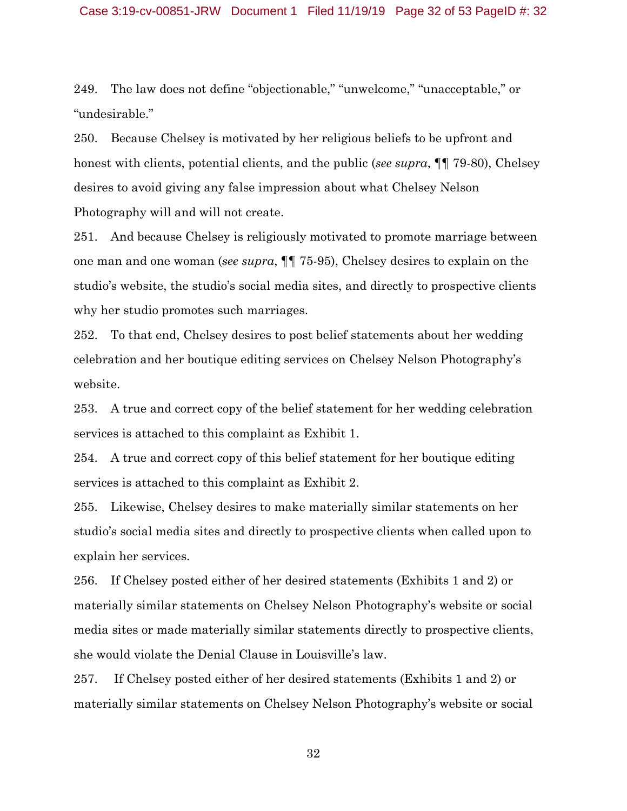#### Case 3:19-cv-00851-JRW Document 1 Filed 11/19/19 Page 32 of 53 PageID #: 32

249. The law does not define "objectionable," "unwelcome," "unacceptable," or "undesirable."

250. Because Chelsey is motivated by her religious beliefs to be upfront and honest with clients, potential clients, and the public (*see supra*, ¶¶ 79-80), Chelsey desires to avoid giving any false impression about what Chelsey Nelson Photography will and will not create.

251. And because Chelsey is religiously motivated to promote marriage between one man and one woman (*see supra*, ¶¶ 75-95), Chelsey desires to explain on the studio's website, the studio's social media sites, and directly to prospective clients why her studio promotes such marriages.

252. To that end, Chelsey desires to post belief statements about her wedding celebration and her boutique editing services on Chelsey Nelson Photography's website.

253. A true and correct copy of the belief statement for her wedding celebration services is attached to this complaint as Exhibit 1.

254. A true and correct copy of this belief statement for her boutique editing services is attached to this complaint as Exhibit 2.

255. Likewise, Chelsey desires to make materially similar statements on her studio's social media sites and directly to prospective clients when called upon to explain her services.

256. If Chelsey posted either of her desired statements (Exhibits 1 and 2) or materially similar statements on Chelsey Nelson Photography's website or social media sites or made materially similar statements directly to prospective clients, she would violate the Denial Clause in Louisville's law.

257. If Chelsey posted either of her desired statements (Exhibits 1 and 2) or materially similar statements on Chelsey Nelson Photography's website or social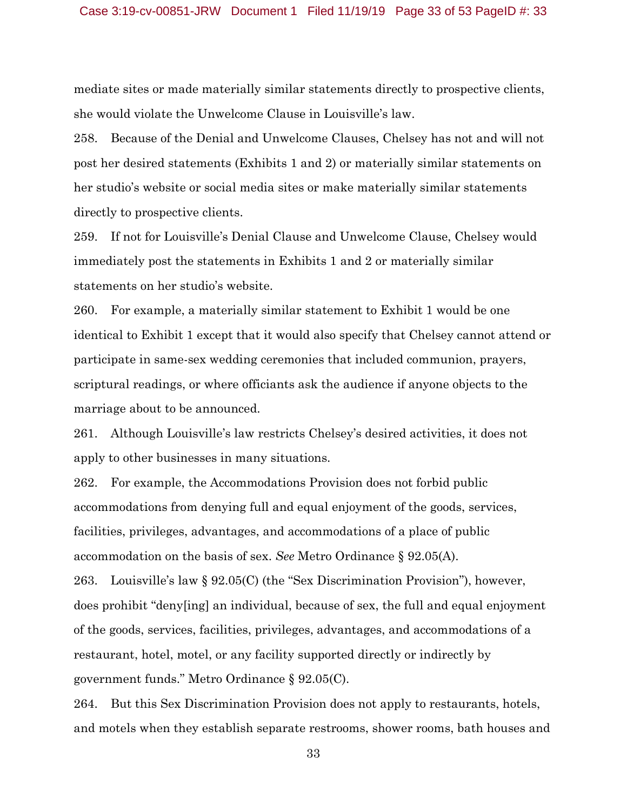mediate sites or made materially similar statements directly to prospective clients, she would violate the Unwelcome Clause in Louisville's law.

258. Because of the Denial and Unwelcome Clauses, Chelsey has not and will not post her desired statements (Exhibits 1 and 2) or materially similar statements on her studio's website or social media sites or make materially similar statements directly to prospective clients.

259. If not for Louisville's Denial Clause and Unwelcome Clause, Chelsey would immediately post the statements in Exhibits 1 and 2 or materially similar statements on her studio's website.

260. For example, a materially similar statement to Exhibit 1 would be one identical to Exhibit 1 except that it would also specify that Chelsey cannot attend or participate in same-sex wedding ceremonies that included communion, prayers, scriptural readings, or where officiants ask the audience if anyone objects to the marriage about to be announced.

261. Although Louisville's law restricts Chelsey's desired activities, it does not apply to other businesses in many situations.

262. For example, the Accommodations Provision does not forbid public accommodations from denying full and equal enjoyment of the goods, services, facilities, privileges, advantages, and accommodations of a place of public accommodation on the basis of sex. *See* Metro Ordinance § 92.05(A).

263. Louisville's law § 92.05(C) (the "Sex Discrimination Provision"), however, does prohibit "deny[ing] an individual, because of sex, the full and equal enjoyment of the goods, services, facilities, privileges, advantages, and accommodations of a restaurant, hotel, motel, or any facility supported directly or indirectly by government funds." Metro Ordinance § 92.05(C).

264. But this Sex Discrimination Provision does not apply to restaurants, hotels, and motels when they establish separate restrooms, shower rooms, bath houses and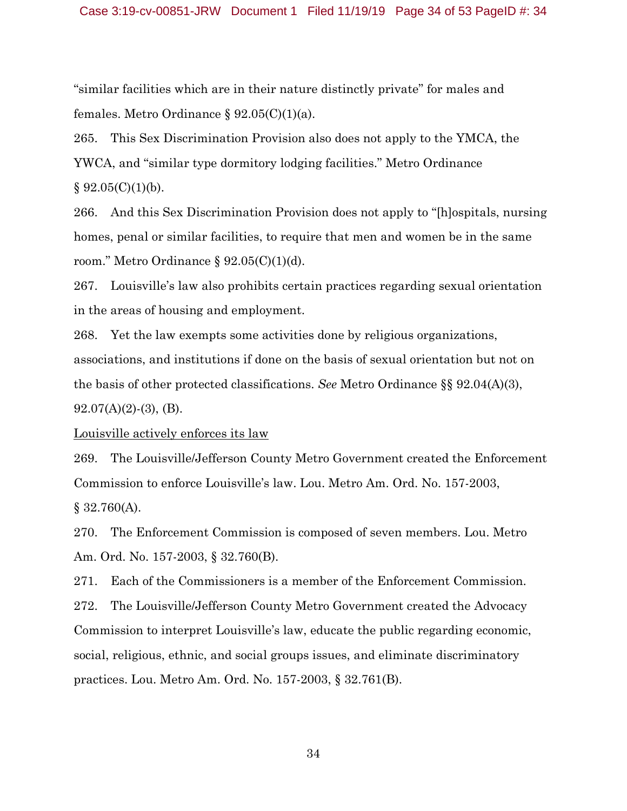"similar facilities which are in their nature distinctly private" for males and females. Metro Ordinance  $\S 92.05(C)(1)(a)$ .

265. This Sex Discrimination Provision also does not apply to the YMCA, the YWCA, and "similar type dormitory lodging facilities." Metro Ordinance  $§ 92.05(C)(1)(b).$ 

266. And this Sex Discrimination Provision does not apply to "[h]ospitals, nursing homes, penal or similar facilities, to require that men and women be in the same room." Metro Ordinance § 92.05(C)(1)(d).

267. Louisville's law also prohibits certain practices regarding sexual orientation in the areas of housing and employment.

268. Yet the law exempts some activities done by religious organizations, associations, and institutions if done on the basis of sexual orientation but not on the basis of other protected classifications. *See* Metro Ordinance §§ 92.04(A)(3),  $92.07(A)(2)-(3)$ , (B).

Louisville actively enforces its law

269. The Louisville/Jefferson County Metro Government created the Enforcement Commission to enforce Louisville's law. Lou. Metro Am. Ord. No. 157-2003, § 32.760(A).

270. The Enforcement Commission is composed of seven members. Lou. Metro Am. Ord. No. 157-2003, § 32.760(B).

271. Each of the Commissioners is a member of the Enforcement Commission. 272. The Louisville/Jefferson County Metro Government created the Advocacy Commission to interpret Louisville's law, educate the public regarding economic, social, religious, ethnic, and social groups issues, and eliminate discriminatory practices. Lou. Metro Am. Ord. No. 157-2003, § 32.761(B).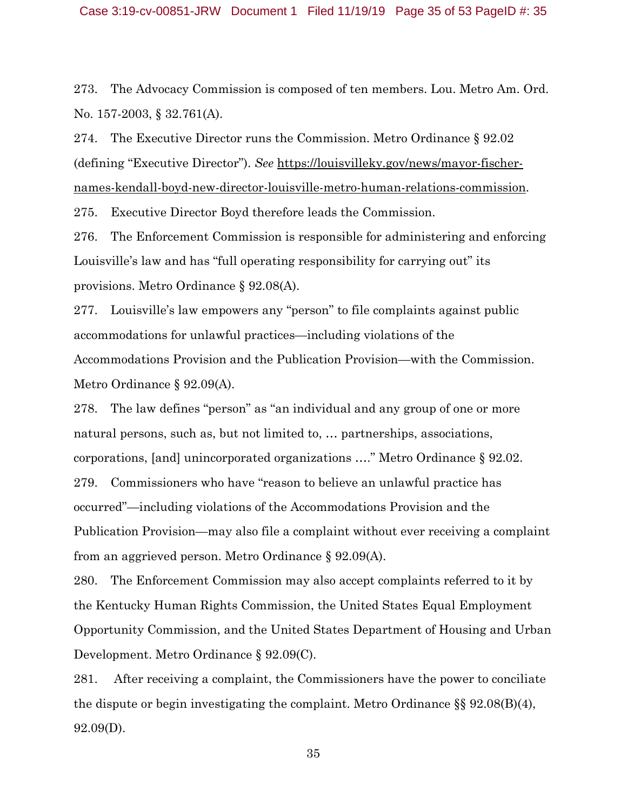273. The Advocacy Commission is composed of ten members. Lou. Metro Am. Ord. No. 157-2003, § 32.761(A).

274. The Executive Director runs the Commission. Metro Ordinance § 92.02 (defining "Executive Director"). *See* https://louisvilleky.gov/news/mayor-fischernames-kendall-boyd-new-director-louisville-metro-human-relations-commission.

275. Executive Director Boyd therefore leads the Commission.

276. The Enforcement Commission is responsible for administering and enforcing Louisville's law and has "full operating responsibility for carrying out" its provisions. Metro Ordinance § 92.08(A).

277. Louisville's law empowers any "person" to file complaints against public accommodations for unlawful practices—including violations of the Accommodations Provision and the Publication Provision—with the Commission. Metro Ordinance § 92.09(A).

278. The law defines "person" as "an individual and any group of one or more natural persons, such as, but not limited to, … partnerships, associations, corporations, [and] unincorporated organizations …." Metro Ordinance § 92.02. 279. Commissioners who have "reason to believe an unlawful practice has occurred"—including violations of the Accommodations Provision and the Publication Provision—may also file a complaint without ever receiving a complaint from an aggrieved person. Metro Ordinance § 92.09(A).

280. The Enforcement Commission may also accept complaints referred to it by the Kentucky Human Rights Commission, the United States Equal Employment Opportunity Commission, and the United States Department of Housing and Urban Development. Metro Ordinance § 92.09(C).

281. After receiving a complaint, the Commissioners have the power to conciliate the dispute or begin investigating the complaint. Metro Ordinance §§ 92.08(B)(4), 92.09(D).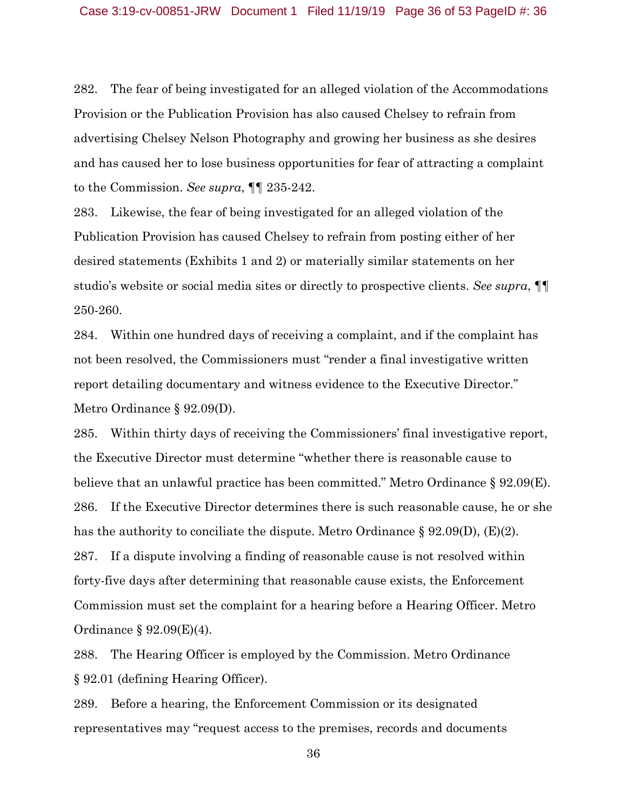282. The fear of being investigated for an alleged violation of the Accommodations Provision or the Publication Provision has also caused Chelsey to refrain from advertising Chelsey Nelson Photography and growing her business as she desires and has caused her to lose business opportunities for fear of attracting a complaint to the Commission. *See supra*, ¶¶ 235-242.

283. Likewise, the fear of being investigated for an alleged violation of the Publication Provision has caused Chelsey to refrain from posting either of her desired statements (Exhibits 1 and 2) or materially similar statements on her studio's website or social media sites or directly to prospective clients. *See supra*, ¶¶ 250-260.

284. Within one hundred days of receiving a complaint, and if the complaint has not been resolved, the Commissioners must "render a final investigative written report detailing documentary and witness evidence to the Executive Director." Metro Ordinance § 92.09(D).

285. Within thirty days of receiving the Commissioners' final investigative report, the Executive Director must determine "whether there is reasonable cause to believe that an unlawful practice has been committed." Metro Ordinance § 92.09(E). 286. If the Executive Director determines there is such reasonable cause, he or she has the authority to conciliate the dispute. Metro Ordinance  $\S 92.09(D)$ , (E)(2). 287. If a dispute involving a finding of reasonable cause is not resolved within forty-five days after determining that reasonable cause exists, the Enforcement Commission must set the complaint for a hearing before a Hearing Officer. Metro Ordinance § 92.09(E)(4).

288. The Hearing Officer is employed by the Commission. Metro Ordinance § 92.01 (defining Hearing Officer).

289. Before a hearing, the Enforcement Commission or its designated representatives may "request access to the premises, records and documents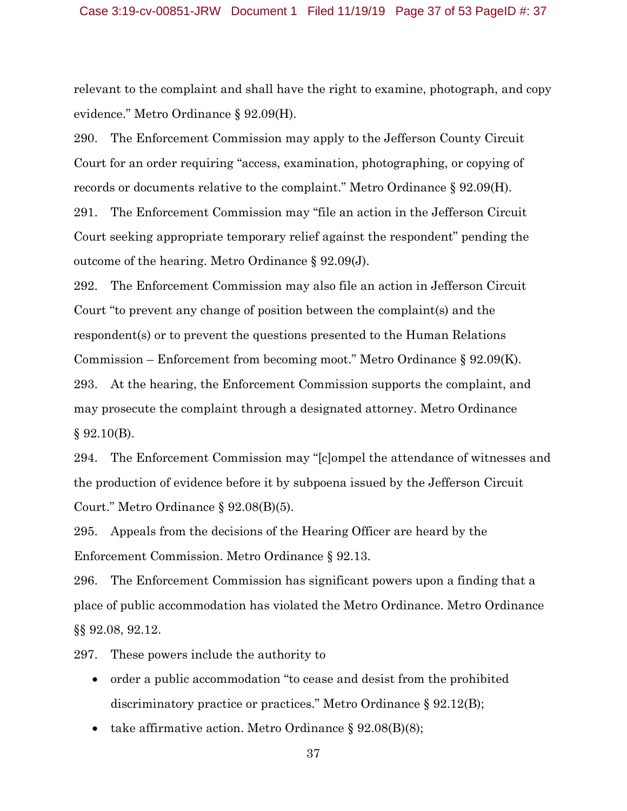relevant to the complaint and shall have the right to examine, photograph, and copy evidence." Metro Ordinance § 92.09(H).

290. The Enforcement Commission may apply to the Jefferson County Circuit Court for an order requiring "access, examination, photographing, or copying of records or documents relative to the complaint." Metro Ordinance § 92.09(H).

291. The Enforcement Commission may "file an action in the Jefferson Circuit Court seeking appropriate temporary relief against the respondent" pending the outcome of the hearing. Metro Ordinance § 92.09(J).

292. The Enforcement Commission may also file an action in Jefferson Circuit Court "to prevent any change of position between the complaint(s) and the respondent(s) or to prevent the questions presented to the Human Relations Commission – Enforcement from becoming moot." Metro Ordinance § 92.09(K). 293. At the hearing, the Enforcement Commission supports the complaint, and may prosecute the complaint through a designated attorney. Metro Ordinance  $§ 92.10(B).$ 

294. The Enforcement Commission may "[c]ompel the attendance of witnesses and the production of evidence before it by subpoena issued by the Jefferson Circuit Court." Metro Ordinance § 92.08(B)(5).

295. Appeals from the decisions of the Hearing Officer are heard by the Enforcement Commission. Metro Ordinance § 92.13.

296. The Enforcement Commission has significant powers upon a finding that a place of public accommodation has violated the Metro Ordinance. Metro Ordinance §§ 92.08, 92.12.

297. These powers include the authority to

- order a public accommodation "to cease and desist from the prohibited discriminatory practice or practices." Metro Ordinance § 92.12(B);
- take affirmative action. Metro Ordinance  $\S$  92.08(B)(8);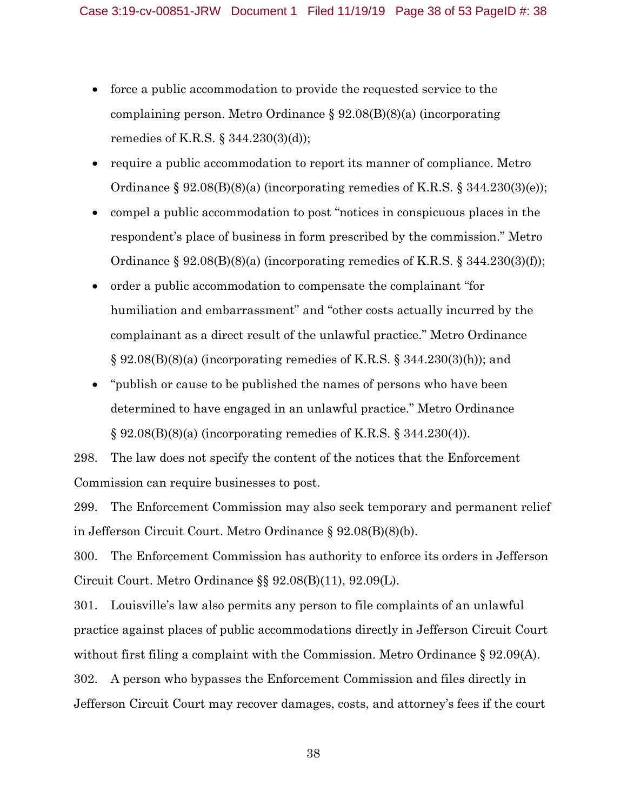- force a public accommodation to provide the requested service to the complaining person. Metro Ordinance § 92.08(B)(8)(a) (incorporating remedies of K.R.S. § 344.230(3)(d));
- require a public accommodation to report its manner of compliance. Metro Ordinance  $\S 92.08(B)(8)(a)$  (incorporating remedies of K.R.S.  $\S 344.230(3)(e)$ );
- compel a public accommodation to post "notices in conspicuous places in the respondent's place of business in form prescribed by the commission." Metro Ordinance  $\S 92.08(B)(8)(a)$  (incorporating remedies of K.R.S.  $\S 344.230(3)(f)$ );
- order a public accommodation to compensate the complainant "for humiliation and embarrassment" and "other costs actually incurred by the complainant as a direct result of the unlawful practice." Metro Ordinance  $\S 92.08(B)(8)(a)$  (incorporating remedies of K.R.S.  $\S 344.230(3)(h)$ ); and
- "publish or cause to be published the names of persons who have been determined to have engaged in an unlawful practice." Metro Ordinance  $\S 92.08(B)(8)(a)$  (incorporating remedies of K.R.S.  $\S 344.230(4)$ ).

298. The law does not specify the content of the notices that the Enforcement Commission can require businesses to post.

299. The Enforcement Commission may also seek temporary and permanent relief in Jefferson Circuit Court. Metro Ordinance § 92.08(B)(8)(b).

300. The Enforcement Commission has authority to enforce its orders in Jefferson Circuit Court. Metro Ordinance §§ 92.08(B)(11), 92.09(L).

301. Louisville's law also permits any person to file complaints of an unlawful practice against places of public accommodations directly in Jefferson Circuit Court without first filing a complaint with the Commission. Metro Ordinance § 92.09(A). 302. A person who bypasses the Enforcement Commission and files directly in Jefferson Circuit Court may recover damages, costs, and attorney's fees if the court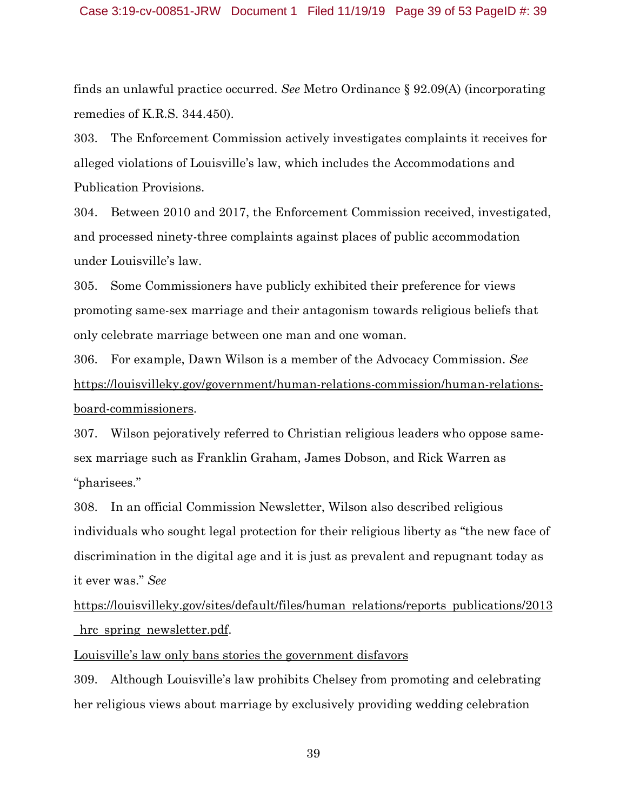finds an unlawful practice occurred. *See* Metro Ordinance § 92.09(A) (incorporating remedies of K.R.S. 344.450).

303. The Enforcement Commission actively investigates complaints it receives for alleged violations of Louisville's law, which includes the Accommodations and Publication Provisions.

304. Between 2010 and 2017, the Enforcement Commission received, investigated, and processed ninety-three complaints against places of public accommodation under Louisville's law.

305. Some Commissioners have publicly exhibited their preference for views promoting same-sex marriage and their antagonism towards religious beliefs that only celebrate marriage between one man and one woman.

306. For example, Dawn Wilson is a member of the Advocacy Commission. *See*  https://louisvilleky.gov/government/human-relations-commission/human-relationsboard-commissioners.

307. Wilson pejoratively referred to Christian religious leaders who oppose samesex marriage such as Franklin Graham, James Dobson, and Rick Warren as "pharisees."

308. In an official Commission Newsletter, Wilson also described religious individuals who sought legal protection for their religious liberty as "the new face of discrimination in the digital age and it is just as prevalent and repugnant today as it ever was." *See* 

https://louisvilleky.gov/sites/default/files/human relations/reports publications/2013 hrc spring newsletter.pdf.

Louisville's law only bans stories the government disfavors

309. Although Louisville's law prohibits Chelsey from promoting and celebrating her religious views about marriage by exclusively providing wedding celebration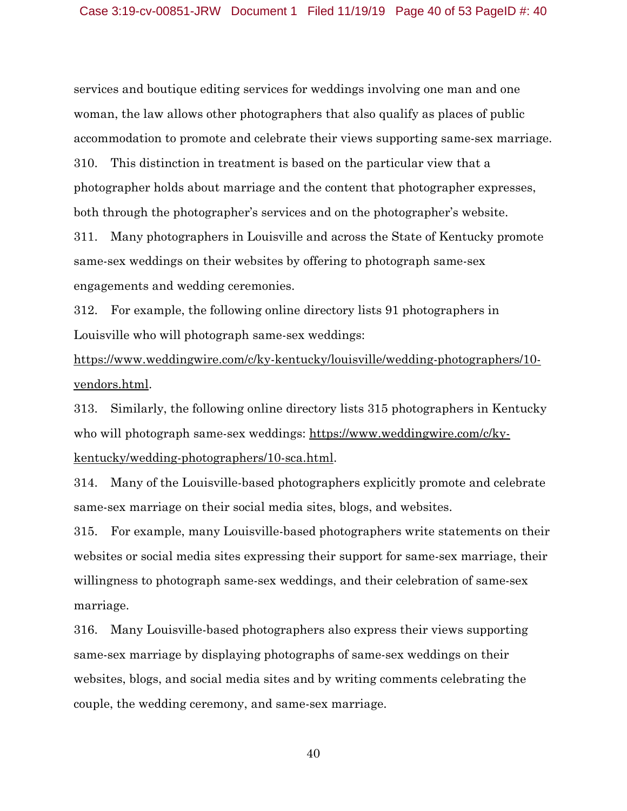services and boutique editing services for weddings involving one man and one woman, the law allows other photographers that also qualify as places of public accommodation to promote and celebrate their views supporting same-sex marriage. 310. This distinction in treatment is based on the particular view that a photographer holds about marriage and the content that photographer expresses, both through the photographer's services and on the photographer's website.

311. Many photographers in Louisville and across the State of Kentucky promote same-sex weddings on their websites by offering to photograph same-sex engagements and wedding ceremonies.

312. For example, the following online directory lists 91 photographers in Louisville who will photograph same-sex weddings:

https://www.weddingwire.com/c/ky-kentucky/louisville/wedding-photographers/10 vendors.html.

313. Similarly, the following online directory lists 315 photographers in Kentucky who will photograph same-sex weddings: https://www.weddingwire.com/c/kykentucky/wedding-photographers/10-sca.html.

314. Many of the Louisville-based photographers explicitly promote and celebrate same-sex marriage on their social media sites, blogs, and websites.

315. For example, many Louisville-based photographers write statements on their websites or social media sites expressing their support for same-sex marriage, their willingness to photograph same-sex weddings, and their celebration of same-sex marriage.

316. Many Louisville-based photographers also express their views supporting same-sex marriage by displaying photographs of same-sex weddings on their websites, blogs, and social media sites and by writing comments celebrating the couple, the wedding ceremony, and same-sex marriage.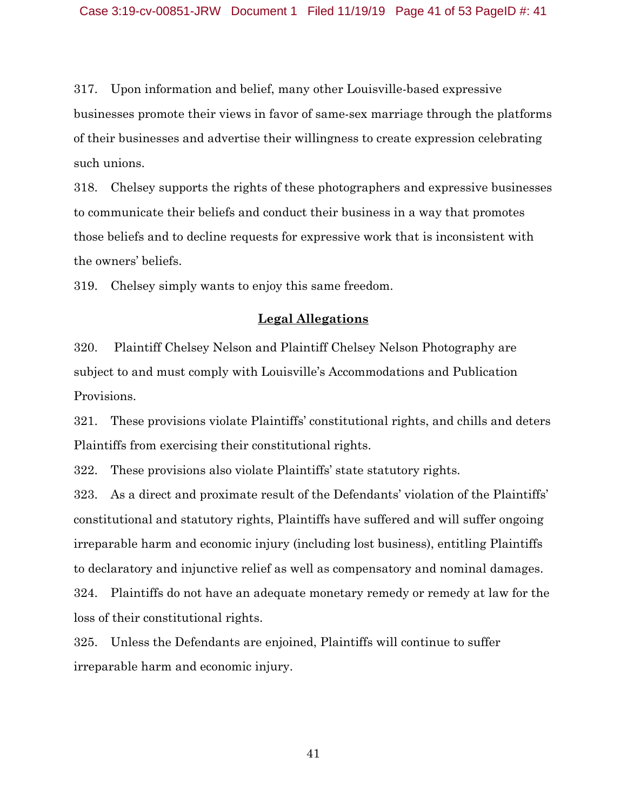317. Upon information and belief, many other Louisville-based expressive businesses promote their views in favor of same-sex marriage through the platforms of their businesses and advertise their willingness to create expression celebrating such unions.

318. Chelsey supports the rights of these photographers and expressive businesses to communicate their beliefs and conduct their business in a way that promotes those beliefs and to decline requests for expressive work that is inconsistent with the owners' beliefs.

319. Chelsey simply wants to enjoy this same freedom.

## **Legal Allegations**

320. Plaintiff Chelsey Nelson and Plaintiff Chelsey Nelson Photography are subject to and must comply with Louisville's Accommodations and Publication Provisions.

321. These provisions violate Plaintiffs' constitutional rights, and chills and deters Plaintiffs from exercising their constitutional rights.

322. These provisions also violate Plaintiffs' state statutory rights.

323. As a direct and proximate result of the Defendants' violation of the Plaintiffs' constitutional and statutory rights, Plaintiffs have suffered and will suffer ongoing irreparable harm and economic injury (including lost business), entitling Plaintiffs to declaratory and injunctive relief as well as compensatory and nominal damages. 324. Plaintiffs do not have an adequate monetary remedy or remedy at law for the loss of their constitutional rights.

325. Unless the Defendants are enjoined, Plaintiffs will continue to suffer irreparable harm and economic injury.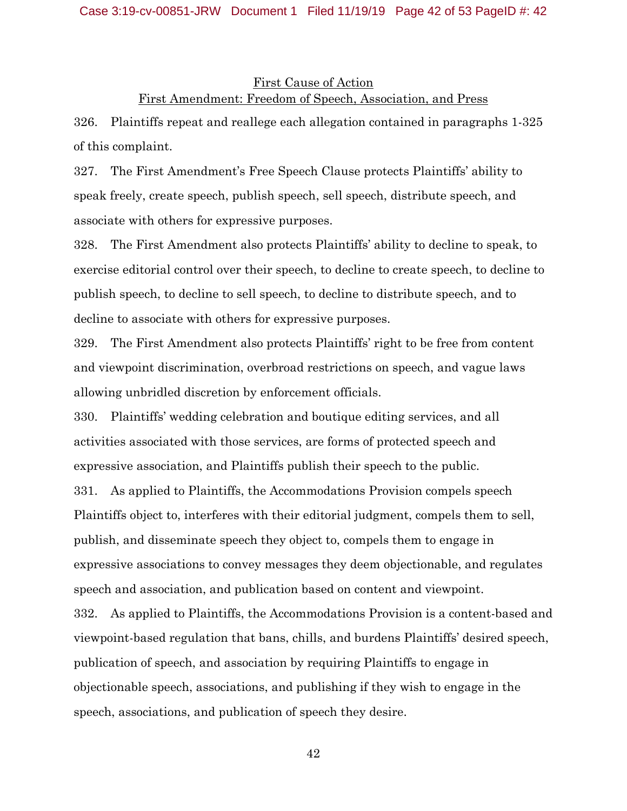#### Case 3:19-cv-00851-JRW Document 1 Filed 11/19/19 Page 42 of 53 PageID #: 42

# First Cause of Action First Amendment: Freedom of Speech, Association, and Press

326. Plaintiffs repeat and reallege each allegation contained in paragraphs 1-325 of this complaint.

327. The First Amendment's Free Speech Clause protects Plaintiffs' ability to speak freely, create speech, publish speech, sell speech, distribute speech, and associate with others for expressive purposes.

328. The First Amendment also protects Plaintiffs' ability to decline to speak, to exercise editorial control over their speech, to decline to create speech, to decline to publish speech, to decline to sell speech, to decline to distribute speech, and to decline to associate with others for expressive purposes.

329. The First Amendment also protects Plaintiffs' right to be free from content and viewpoint discrimination, overbroad restrictions on speech, and vague laws allowing unbridled discretion by enforcement officials.

330. Plaintiffs' wedding celebration and boutique editing services, and all activities associated with those services, are forms of protected speech and expressive association, and Plaintiffs publish their speech to the public. 331. As applied to Plaintiffs, the Accommodations Provision compels speech Plaintiffs object to, interferes with their editorial judgment, compels them to sell, publish, and disseminate speech they object to, compels them to engage in expressive associations to convey messages they deem objectionable, and regulates speech and association, and publication based on content and viewpoint. 332. As applied to Plaintiffs, the Accommodations Provision is a content-based and viewpoint-based regulation that bans, chills, and burdens Plaintiffs' desired speech, publication of speech, and association by requiring Plaintiffs to engage in

objectionable speech, associations, and publishing if they wish to engage in the speech, associations, and publication of speech they desire.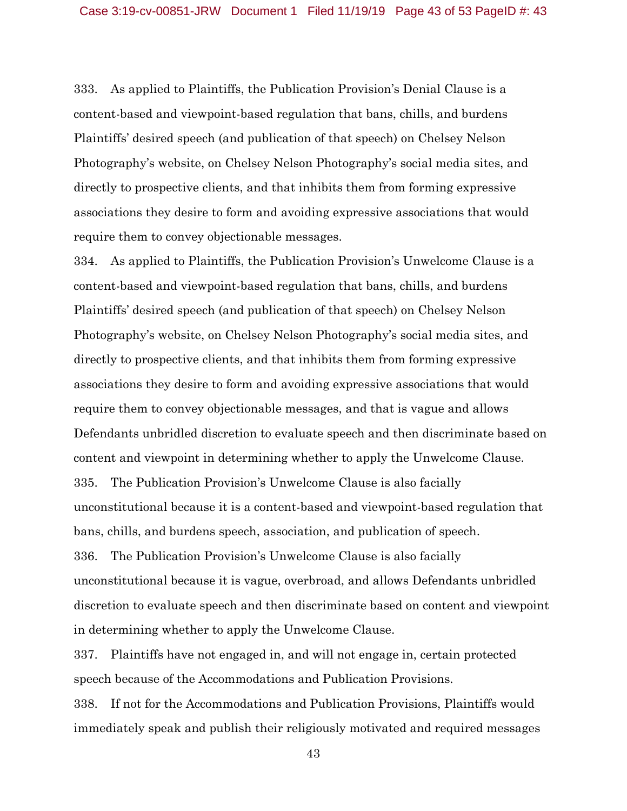333. As applied to Plaintiffs, the Publication Provision's Denial Clause is a content-based and viewpoint-based regulation that bans, chills, and burdens Plaintiffs' desired speech (and publication of that speech) on Chelsey Nelson Photography's website, on Chelsey Nelson Photography's social media sites, and directly to prospective clients, and that inhibits them from forming expressive associations they desire to form and avoiding expressive associations that would require them to convey objectionable messages.

334. As applied to Plaintiffs, the Publication Provision's Unwelcome Clause is a content-based and viewpoint-based regulation that bans, chills, and burdens Plaintiffs' desired speech (and publication of that speech) on Chelsey Nelson Photography's website, on Chelsey Nelson Photography's social media sites, and directly to prospective clients, and that inhibits them from forming expressive associations they desire to form and avoiding expressive associations that would require them to convey objectionable messages, and that is vague and allows Defendants unbridled discretion to evaluate speech and then discriminate based on content and viewpoint in determining whether to apply the Unwelcome Clause. 335. The Publication Provision's Unwelcome Clause is also facially unconstitutional because it is a content-based and viewpoint-based regulation that bans, chills, and burdens speech, association, and publication of speech. 336. The Publication Provision's Unwelcome Clause is also facially unconstitutional because it is vague, overbroad, and allows Defendants unbridled discretion to evaluate speech and then discriminate based on content and viewpoint in determining whether to apply the Unwelcome Clause.

337. Plaintiffs have not engaged in, and will not engage in, certain protected speech because of the Accommodations and Publication Provisions.

338. If not for the Accommodations and Publication Provisions, Plaintiffs would immediately speak and publish their religiously motivated and required messages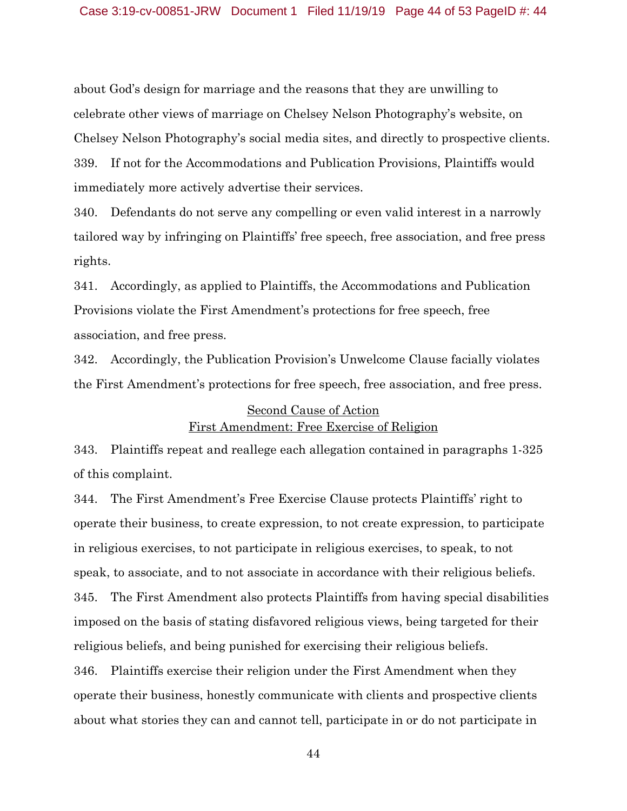#### Case 3:19-cv-00851-JRW Document 1 Filed 11/19/19 Page 44 of 53 PageID #: 44

about God's design for marriage and the reasons that they are unwilling to celebrate other views of marriage on Chelsey Nelson Photography's website, on Chelsey Nelson Photography's social media sites, and directly to prospective clients. 339. If not for the Accommodations and Publication Provisions, Plaintiffs would immediately more actively advertise their services.

340. Defendants do not serve any compelling or even valid interest in a narrowly tailored way by infringing on Plaintiffs' free speech, free association, and free press rights.

341. Accordingly, as applied to Plaintiffs, the Accommodations and Publication Provisions violate the First Amendment's protections for free speech, free association, and free press.

342. Accordingly, the Publication Provision's Unwelcome Clause facially violates the First Amendment's protections for free speech, free association, and free press.

## Second Cause of Action First Amendment: Free Exercise of Religion

343. Plaintiffs repeat and reallege each allegation contained in paragraphs 1-325 of this complaint.

344. The First Amendment's Free Exercise Clause protects Plaintiffs' right to operate their business, to create expression, to not create expression, to participate in religious exercises, to not participate in religious exercises, to speak, to not speak, to associate, and to not associate in accordance with their religious beliefs. 345. The First Amendment also protects Plaintiffs from having special disabilities imposed on the basis of stating disfavored religious views, being targeted for their religious beliefs, and being punished for exercising their religious beliefs. 346. Plaintiffs exercise their religion under the First Amendment when they operate their business, honestly communicate with clients and prospective clients

44

about what stories they can and cannot tell, participate in or do not participate in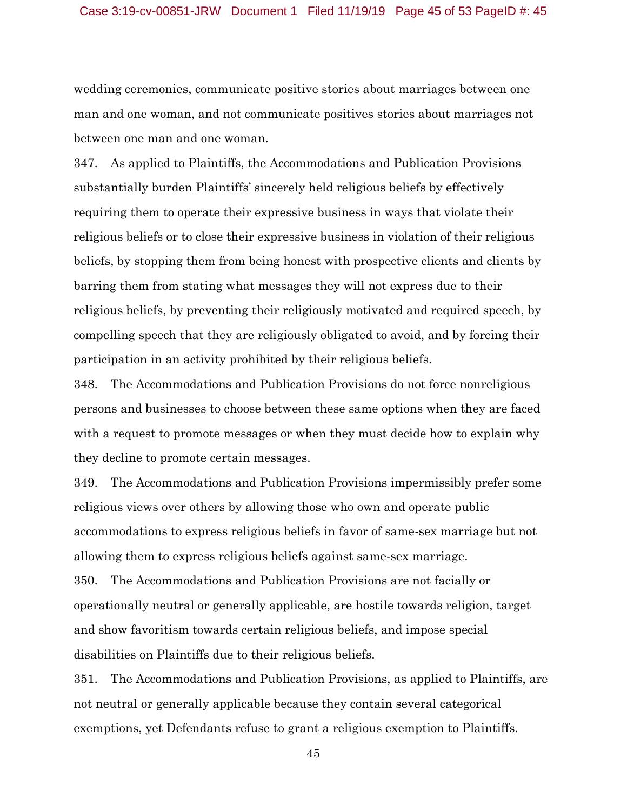wedding ceremonies, communicate positive stories about marriages between one man and one woman, and not communicate positives stories about marriages not between one man and one woman.

347. As applied to Plaintiffs, the Accommodations and Publication Provisions substantially burden Plaintiffs' sincerely held religious beliefs by effectively requiring them to operate their expressive business in ways that violate their religious beliefs or to close their expressive business in violation of their religious beliefs, by stopping them from being honest with prospective clients and clients by barring them from stating what messages they will not express due to their religious beliefs, by preventing their religiously motivated and required speech, by compelling speech that they are religiously obligated to avoid, and by forcing their participation in an activity prohibited by their religious beliefs.

348. The Accommodations and Publication Provisions do not force nonreligious persons and businesses to choose between these same options when they are faced with a request to promote messages or when they must decide how to explain why they decline to promote certain messages.

349. The Accommodations and Publication Provisions impermissibly prefer some religious views over others by allowing those who own and operate public accommodations to express religious beliefs in favor of same-sex marriage but not allowing them to express religious beliefs against same-sex marriage.

350. The Accommodations and Publication Provisions are not facially or operationally neutral or generally applicable, are hostile towards religion, target and show favoritism towards certain religious beliefs, and impose special disabilities on Plaintiffs due to their religious beliefs.

351. The Accommodations and Publication Provisions, as applied to Plaintiffs, are not neutral or generally applicable because they contain several categorical exemptions, yet Defendants refuse to grant a religious exemption to Plaintiffs.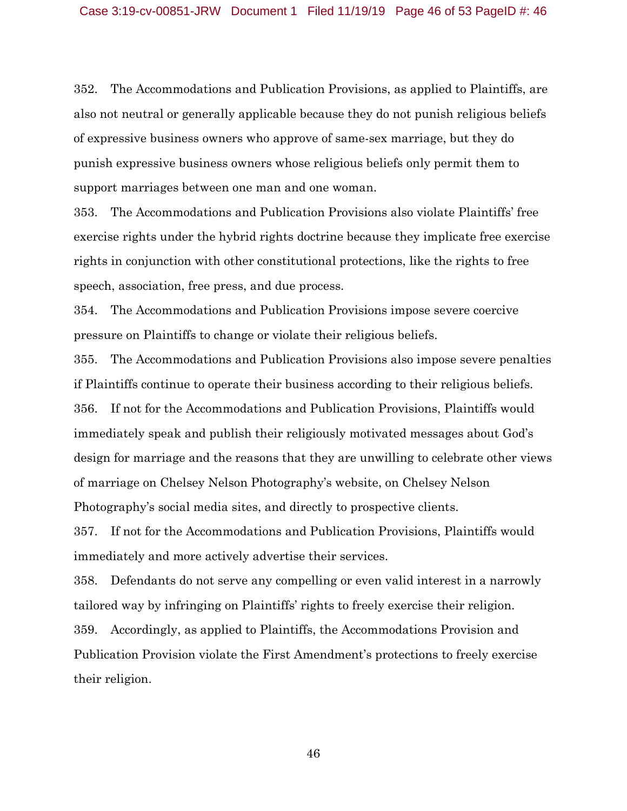352. The Accommodations and Publication Provisions, as applied to Plaintiffs, are also not neutral or generally applicable because they do not punish religious beliefs of expressive business owners who approve of same-sex marriage, but they do punish expressive business owners whose religious beliefs only permit them to support marriages between one man and one woman.

353. The Accommodations and Publication Provisions also violate Plaintiffs' free exercise rights under the hybrid rights doctrine because they implicate free exercise rights in conjunction with other constitutional protections, like the rights to free speech, association, free press, and due process.

354. The Accommodations and Publication Provisions impose severe coercive pressure on Plaintiffs to change or violate their religious beliefs.

355. The Accommodations and Publication Provisions also impose severe penalties if Plaintiffs continue to operate their business according to their religious beliefs. 356. If not for the Accommodations and Publication Provisions, Plaintiffs would immediately speak and publish their religiously motivated messages about God's design for marriage and the reasons that they are unwilling to celebrate other views of marriage on Chelsey Nelson Photography's website, on Chelsey Nelson Photography's social media sites, and directly to prospective clients.

357. If not for the Accommodations and Publication Provisions, Plaintiffs would immediately and more actively advertise their services.

358. Defendants do not serve any compelling or even valid interest in a narrowly tailored way by infringing on Plaintiffs' rights to freely exercise their religion. 359. Accordingly, as applied to Plaintiffs, the Accommodations Provision and Publication Provision violate the First Amendment's protections to freely exercise their religion.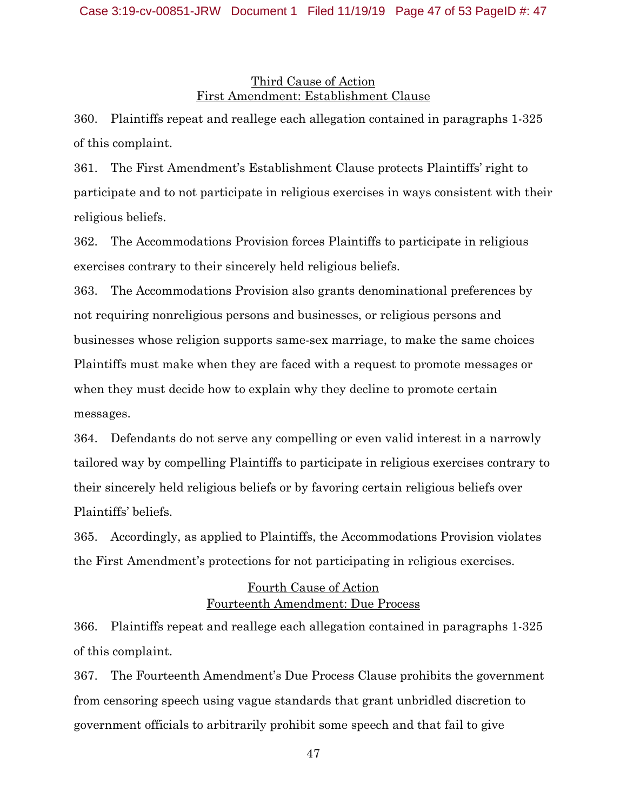## Third Cause of Action First Amendment: Establishment Clause

360. Plaintiffs repeat and reallege each allegation contained in paragraphs 1-325 of this complaint.

361. The First Amendment's Establishment Clause protects Plaintiffs' right to participate and to not participate in religious exercises in ways consistent with their religious beliefs.

362. The Accommodations Provision forces Plaintiffs to participate in religious exercises contrary to their sincerely held religious beliefs.

363. The Accommodations Provision also grants denominational preferences by not requiring nonreligious persons and businesses, or religious persons and businesses whose religion supports same-sex marriage, to make the same choices Plaintiffs must make when they are faced with a request to promote messages or when they must decide how to explain why they decline to promote certain messages.

364. Defendants do not serve any compelling or even valid interest in a narrowly tailored way by compelling Plaintiffs to participate in religious exercises contrary to their sincerely held religious beliefs or by favoring certain religious beliefs over Plaintiffs' beliefs.

365. Accordingly, as applied to Plaintiffs, the Accommodations Provision violates the First Amendment's protections for not participating in religious exercises.

# Fourth Cause of Action Fourteenth Amendment: Due Process

366. Plaintiffs repeat and reallege each allegation contained in paragraphs 1-325 of this complaint.

367. The Fourteenth Amendment's Due Process Clause prohibits the government from censoring speech using vague standards that grant unbridled discretion to government officials to arbitrarily prohibit some speech and that fail to give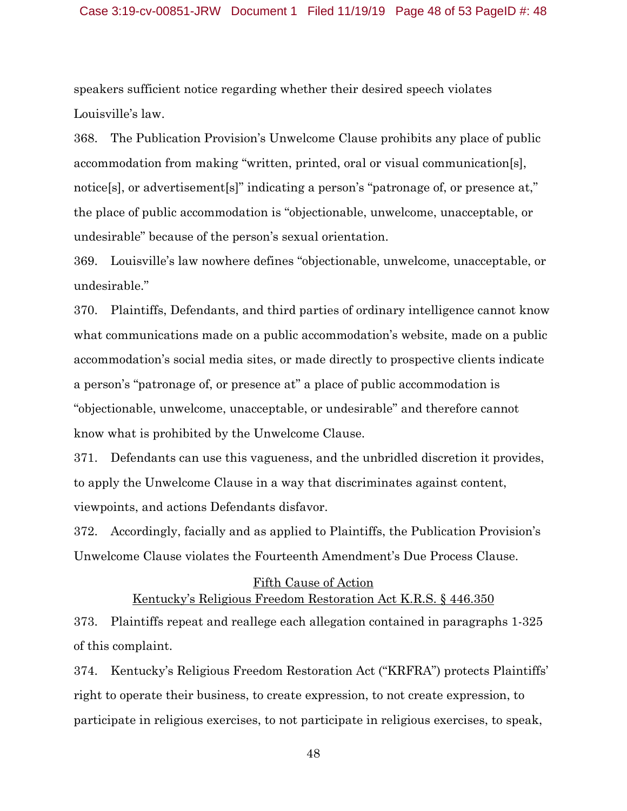#### Case 3:19-cv-00851-JRW Document 1 Filed 11/19/19 Page 48 of 53 PageID #: 48

speakers sufficient notice regarding whether their desired speech violates Louisville's law.

368. The Publication Provision's Unwelcome Clause prohibits any place of public accommodation from making "written, printed, oral or visual communication[s], notice[s], or advertisement[s]" indicating a person's "patronage of, or presence at," the place of public accommodation is "objectionable, unwelcome, unacceptable, or undesirable" because of the person's sexual orientation.

369. Louisville's law nowhere defines "objectionable, unwelcome, unacceptable, or undesirable."

370. Plaintiffs, Defendants, and third parties of ordinary intelligence cannot know what communications made on a public accommodation's website, made on a public accommodation's social media sites, or made directly to prospective clients indicate a person's "patronage of, or presence at" a place of public accommodation is "objectionable, unwelcome, unacceptable, or undesirable" and therefore cannot know what is prohibited by the Unwelcome Clause.

371. Defendants can use this vagueness, and the unbridled discretion it provides, to apply the Unwelcome Clause in a way that discriminates against content, viewpoints, and actions Defendants disfavor.

372. Accordingly, facially and as applied to Plaintiffs, the Publication Provision's Unwelcome Clause violates the Fourteenth Amendment's Due Process Clause.

## Fifth Cause of Action Kentucky's Religious Freedom Restoration Act K.R.S. § 446.350

373. Plaintiffs repeat and reallege each allegation contained in paragraphs 1-325 of this complaint.

374. Kentucky's Religious Freedom Restoration Act ("KRFRA") protects Plaintiffs' right to operate their business, to create expression, to not create expression, to participate in religious exercises, to not participate in religious exercises, to speak,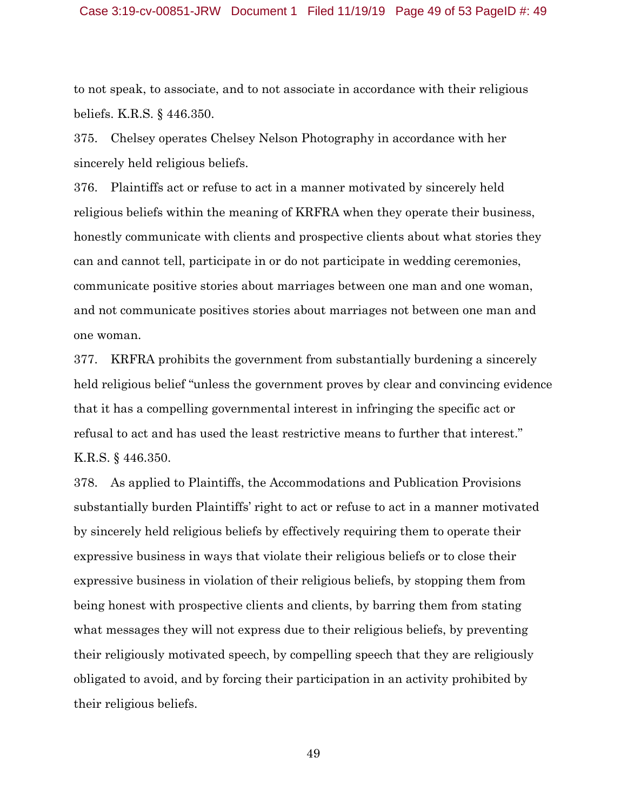#### Case 3:19-cv-00851-JRW Document 1 Filed 11/19/19 Page 49 of 53 PageID #: 49

to not speak, to associate, and to not associate in accordance with their religious beliefs. K.R.S. § 446.350.

375. Chelsey operates Chelsey Nelson Photography in accordance with her sincerely held religious beliefs.

376. Plaintiffs act or refuse to act in a manner motivated by sincerely held religious beliefs within the meaning of KRFRA when they operate their business, honestly communicate with clients and prospective clients about what stories they can and cannot tell, participate in or do not participate in wedding ceremonies, communicate positive stories about marriages between one man and one woman, and not communicate positives stories about marriages not between one man and one woman.

377. KRFRA prohibits the government from substantially burdening a sincerely held religious belief "unless the government proves by clear and convincing evidence that it has a compelling governmental interest in infringing the specific act or refusal to act and has used the least restrictive means to further that interest." K.R.S. § 446.350.

378. As applied to Plaintiffs, the Accommodations and Publication Provisions substantially burden Plaintiffs' right to act or refuse to act in a manner motivated by sincerely held religious beliefs by effectively requiring them to operate their expressive business in ways that violate their religious beliefs or to close their expressive business in violation of their religious beliefs, by stopping them from being honest with prospective clients and clients, by barring them from stating what messages they will not express due to their religious beliefs, by preventing their religiously motivated speech, by compelling speech that they are religiously obligated to avoid, and by forcing their participation in an activity prohibited by their religious beliefs.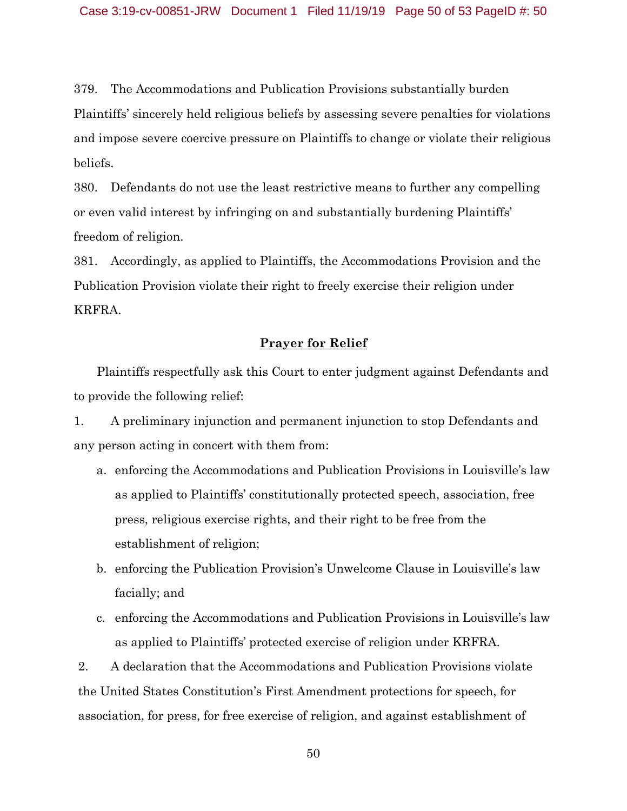379. The Accommodations and Publication Provisions substantially burden Plaintiffs' sincerely held religious beliefs by assessing severe penalties for violations and impose severe coercive pressure on Plaintiffs to change or violate their religious beliefs.

380. Defendants do not use the least restrictive means to further any compelling or even valid interest by infringing on and substantially burdening Plaintiffs' freedom of religion.

381. Accordingly, as applied to Plaintiffs, the Accommodations Provision and the Publication Provision violate their right to freely exercise their religion under KRFRA.

## **Prayer for Relief**

Plaintiffs respectfully ask this Court to enter judgment against Defendants and to provide the following relief:

1. A preliminary injunction and permanent injunction to stop Defendants and any person acting in concert with them from:

- a. enforcing the Accommodations and Publication Provisions in Louisville's law as applied to Plaintiffs' constitutionally protected speech, association, free press, religious exercise rights, and their right to be free from the establishment of religion;
- b. enforcing the Publication Provision's Unwelcome Clause in Louisville's law facially; and
- c. enforcing the Accommodations and Publication Provisions in Louisville's law as applied to Plaintiffs' protected exercise of religion under KRFRA.

2. A declaration that the Accommodations and Publication Provisions violate the United States Constitution's First Amendment protections for speech, for association, for press, for free exercise of religion, and against establishment of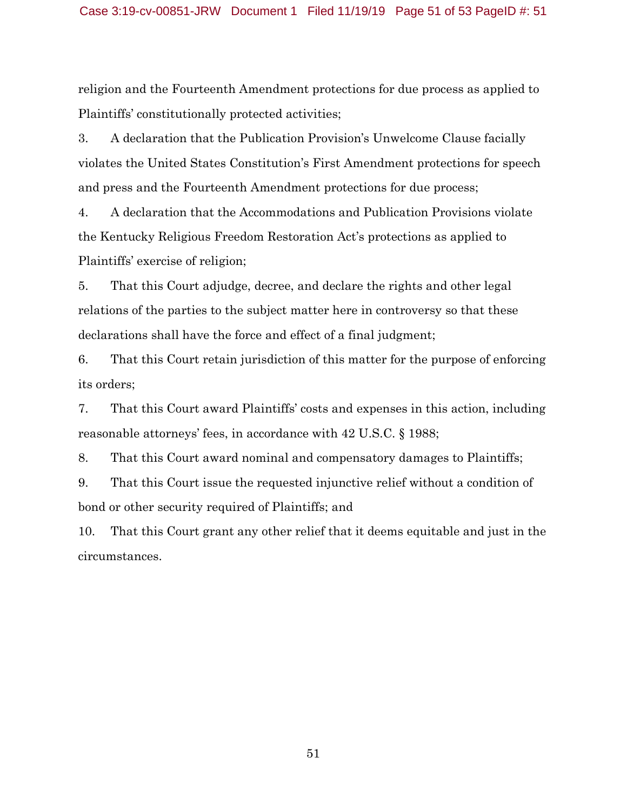religion and the Fourteenth Amendment protections for due process as applied to Plaintiffs' constitutionally protected activities;

3. A declaration that the Publication Provision's Unwelcome Clause facially violates the United States Constitution's First Amendment protections for speech and press and the Fourteenth Amendment protections for due process;

4. A declaration that the Accommodations and Publication Provisions violate the Kentucky Religious Freedom Restoration Act's protections as applied to Plaintiffs' exercise of religion;

5. That this Court adjudge, decree, and declare the rights and other legal relations of the parties to the subject matter here in controversy so that these declarations shall have the force and effect of a final judgment;

6. That this Court retain jurisdiction of this matter for the purpose of enforcing its orders;

7. That this Court award Plaintiffs' costs and expenses in this action, including reasonable attorneys' fees, in accordance with 42 U.S.C. § 1988;

8. That this Court award nominal and compensatory damages to Plaintiffs;

9. That this Court issue the requested injunctive relief without a condition of bond or other security required of Plaintiffs; and

10. That this Court grant any other relief that it deems equitable and just in the circumstances.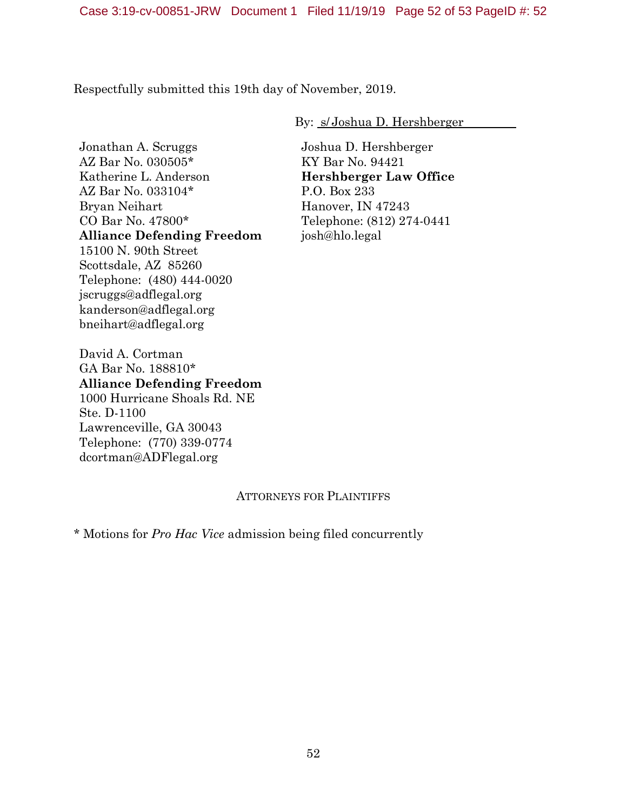Respectfully submitted this 19th day of November, 2019.

By: s/ Joshua D. Hershberger

Jonathan A. Scruggs AZ Bar No. 030505\* Katherine L. Anderson AZ Bar No. 033104\* Bryan Neihart CO Bar No. 47800\* **Alliance Defending Freedom** 15100 N. 90th Street Scottsdale, AZ 85260 Telephone: (480) 444-0020 jscruggs@adflegal.org kanderson@adflegal.org bneihart@adflegal.org

Joshua D. Hershberger KY Bar No. 94421 **Hershberger Law Office** P.O. Box 233 Hanover, IN 47243 Telephone: (812) 274-0441 josh@hlo.legal

David A. Cortman GA Bar No. 188810\* **Alliance Defending Freedom** 1000 Hurricane Shoals Rd. NE Ste. D-1100 Lawrenceville, GA 30043 Telephone: (770) 339-0774 dcortman@ADFlegal.org

## ATTORNEYS FOR PLAINTIFFS

\* Motions for *Pro Hac Vice* admission being filed concurrently